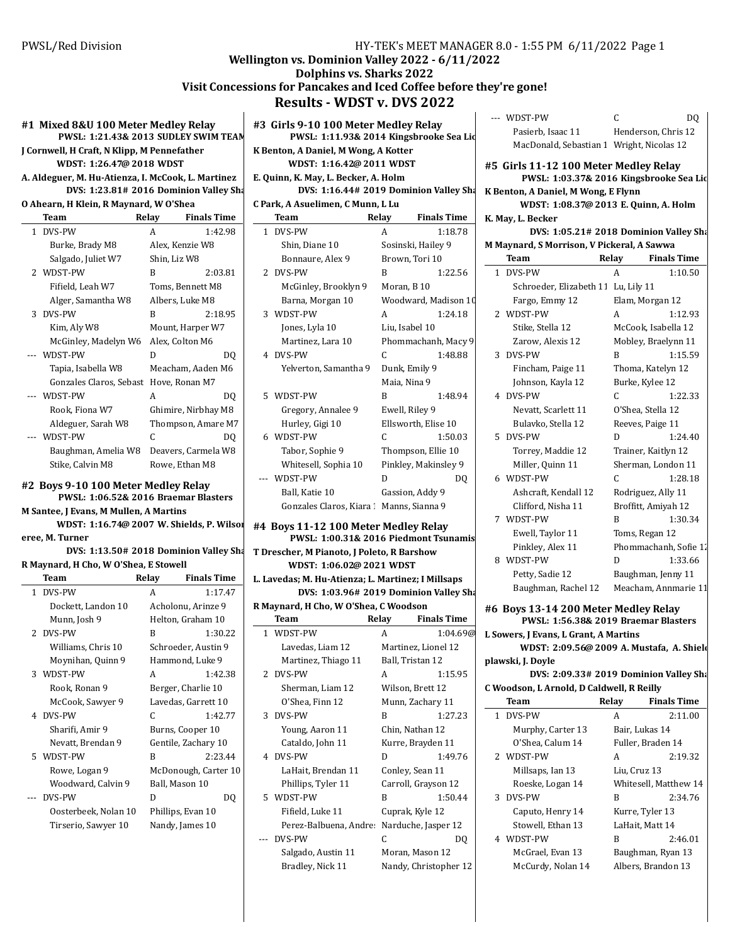# **Wellington vs. Dominion Valley 2022 - 6/11/2022**

# **Dolphins vs. Sharks 2022 Visit Concessions for Pancakes and Iced Coffee before they're gone! Results - WDST v. DVS 2022**

# **#1 Mixed 8&U 100 Meter Medley Relay PWSL: 1:21.43 2013 & SUDLEY SWIM TEAM**

**J Cornwell, H Craft, N Klipp, M Pennefather WDST: 1:26.47@ 2018 WDST** 

| A. Aldeguer, M. Hu-Atienza, I. McCook, L. Martinez   E. |  |
|---------------------------------------------------------|--|
| DVS: 1:23.81# 2016 Dominion Valley Sha                  |  |

### **O Ahearn, H Klein, R Maynard, W O'Shea**

|   | Team                    | Relay        | Finals Time         |
|---|-------------------------|--------------|---------------------|
| 1 | DVS-PW                  | A            | 1:42.98             |
|   | Burke, Brady M8         |              | Alex, Kenzie W8     |
|   | Salgado, Juliet W7      | Shin, Liz W8 |                     |
|   | 2 WDST-PW               | в            | 2:03.81             |
|   | Fifield, Leah W7        |              | Toms, Bennett M8    |
|   | Alger, Samantha W8      |              | Albers, Luke M8     |
| 3 | DVS-PW                  | в            | 2:18.95             |
|   | Kim, Aly W8             |              | Mount, Harper W7    |
|   | McGinley, Madelyn W6    |              | Alex, Colton M6     |
|   | --- WDST-PW             | D            | DO                  |
|   | Tapia, Isabella W8      |              | Meacham, Aaden M6   |
|   | Gonzales Claros, Sebast |              | Hove, Ronan M7      |
|   | --- WDST-PW             | A            | DQ                  |
|   | Rook, Fiona W7          |              | Ghimire, Nirbhay M8 |
|   | Aldeguer, Sarah W8      |              | Thompson, Amare M7  |
|   | --- WDST-PW             | C            | DO                  |
|   | Baughman, Amelia W8     |              | Deavers, Carmela W8 |
|   | Stike, Calvin M8        |              | Rowe, Ethan M8      |
|   |                         |              |                     |

**#2 Boys 9-10 100 Meter Medley Relay PWSL: 1:06.52& 2016 Braemar Blasters** 

**M** Santee, J Evans, M Mullen, A Martins

**WDST: 1:16.74@ 2007 W. Shields, P. Wilson eree, M. Turner DVS: 1:13.50# 2018 Dominion Valley Sharks** 

**R Maynard, H Cho, W O'Shea, E Stowell**

| Team                 | Relay | <b>Finals Time</b>   |
|----------------------|-------|----------------------|
| 1 DVS-PW             | A     | 1:17.47              |
| Dockett, Landon 10   |       | Acholonu, Arinze 9   |
| Munn, Josh 9         |       | Helton, Graham 10    |
| 2 DVS-PW             | в     | 1:30.22              |
| Williams, Chris 10   |       | Schroeder, Austin 9  |
| Moynihan, Quinn 9    |       | Hammond, Luke 9      |
| 3 WDST-PW            | A     | 1:42.38              |
| Rook, Ronan 9        |       | Berger, Charlie 10   |
| McCook, Sawyer 9     |       | Lavedas, Garrett 10  |
| 4 DVS-PW             | C     | 1:42.77              |
| Sharifi, Amir 9      |       | Burns, Cooper 10     |
| Nevatt, Brendan 9    |       | Gentile, Zachary 10  |
| 5 WDST-PW            | B     | 2:23.44              |
| Rowe, Logan 9        |       | McDonough, Carter 10 |
| Woodward, Calvin 9   |       | Ball, Mason 10       |
| DVS-PW               | D     | DO                   |
| Oosterbeek, Nolan 10 |       | Phillips, Evan 10    |
| Tirserio, Sawyer 10  |       | Nandy, James 10      |
|                      |       |                      |

|                | #3 Girls 9-10 100 Meter Medley Relay<br>PWSL: 1:11.93& 2014 Kingsbrooke Sea Lid<br>K Benton, A Daniel, M Wong, A Kotter<br>WDST: 1:16.42@ 2011 WDST<br>E. Quinn, K. May, L. Becker, A. Holm<br>DVS: 1:16.44# 2019 Dominion Valley Sha<br>C Park, A Asuelimen, C Munn, L Lu |       |                        |   | WDST<br>Pasi<br>Mac<br>#5 Girls<br>P۱<br>K Benton,<br>W |
|----------------|----------------------------------------------------------------------------------------------------------------------------------------------------------------------------------------------------------------------------------------------------------------------------|-------|------------------------|---|---------------------------------------------------------|
|                | Team                                                                                                                                                                                                                                                                       | Relay | <b>Finals Time</b>     |   | K. May, L. I                                            |
|                | 1 DVS-PW                                                                                                                                                                                                                                                                   | A     | 1:18.78                |   |                                                         |
|                | Shin, Diane 10                                                                                                                                                                                                                                                             |       | Sosinski, Hailey 9     |   | <b>M</b> Maynard                                        |
|                | Bonnaure, Alex 9                                                                                                                                                                                                                                                           |       | Brown, Tori 10         |   | Team                                                    |
| $\overline{2}$ | DVS-PW                                                                                                                                                                                                                                                                     | R     | 1:22.56                | 1 | DVS-P                                                   |
|                | McGinley, Brooklyn 9                                                                                                                                                                                                                                                       |       | Moran, B <sub>10</sub> |   | Schi                                                    |
|                | Barna, Morgan 10                                                                                                                                                                                                                                                           |       | Woodward, Madison 10   |   | Farg                                                    |
| 3              | WDST-PW                                                                                                                                                                                                                                                                    | A     | 1:24.18                |   | 2 WDST                                                  |
|                | Jones, Lyla 10                                                                                                                                                                                                                                                             |       | Liu, Isabel 10         |   | Stik                                                    |
|                | Martinez, Lara 10                                                                                                                                                                                                                                                          |       | Phommachanh, Macy 9    |   | Zaro                                                    |
|                | 4 DVS-PW                                                                                                                                                                                                                                                                   | C     | 1:48.88                |   | 3 DVS-P                                                 |
|                | Yelverton, Samantha 9                                                                                                                                                                                                                                                      |       | Dunk, Emily 9          |   | Finc                                                    |
|                |                                                                                                                                                                                                                                                                            |       | Maia, Nina 9           |   | Johr                                                    |
|                | 5 WDST-PW                                                                                                                                                                                                                                                                  | B     | 1:48.94                |   | 4 DVS-P                                                 |
|                | Gregory, Annalee 9                                                                                                                                                                                                                                                         |       | Ewell, Riley 9         |   | Nev.                                                    |
|                | Hurley, Gigi 10                                                                                                                                                                                                                                                            |       | Ellsworth, Elise 10    |   | Bula                                                    |
|                | 6 WDST-PW                                                                                                                                                                                                                                                                  | C     | 1:50.03                | 5 | DVS-P                                                   |
|                | Tabor, Sophie 9                                                                                                                                                                                                                                                            |       | Thompson, Ellie 10     |   | Tori                                                    |
|                | Whitesell, Sophia 10                                                                                                                                                                                                                                                       |       | Pinkley, Makinsley 9   |   | Mill                                                    |
|                | WDST-PW                                                                                                                                                                                                                                                                    | D     | DO                     |   | 6 WDST                                                  |
|                | Ball, Katie 10                                                                                                                                                                                                                                                             |       | Gassion, Addy 9        |   | Ash                                                     |
|                | Gonzales Claros, Kiara 1                                                                                                                                                                                                                                                   |       | Manns, Sianna 9        |   | Cliff                                                   |

## **#4 Boys 11-12 100 Meter Medley Relay** PWSL: 1:00.31& 2016 Piedmont Tsunamis **T Drescher, M Pianoto, J Poleto, R Barshow WDST: 1:06.02 2021 @ WDST**

**L. Lavedas; M. Hu-Atienza; L. Martinez; I Millsaps DVS: 1:03.96# 2019 Dominion Valley Sharks** 

**R Maynard, H Cho, W O'Shea, C Woodson**

| Team                   | Relay | <b>Finals Time</b>    |
|------------------------|-------|-----------------------|
| 1 WDST-PW              | A     | 1:04.69@              |
| Lavedas, Liam 12       |       | Martinez, Lionel 12   |
| Martinez, Thiago 11    |       | Ball, Tristan 12      |
| 2 DVS-PW               | A     | 1:15.95               |
| Sherman, Liam 12       |       | Wilson, Brett 12      |
| O'Shea, Finn 12        |       | Munn, Zachary 11      |
| 3 DVS-PW               | B     | 1:27.23               |
| Young, Aaron 11        |       | Chin, Nathan 12       |
| Cataldo, John 11       |       | Kurre, Brayden 11     |
| 4 DVS-PW               | D     | 1:49.76               |
| LaHait, Brendan 11     |       | Conley, Sean 11       |
| Phillips, Tyler 11     |       | Carroll, Grayson 12   |
| 5 WDST-PW              | B     | 1:50.44               |
| Fifield, Luke 11       |       | Cuprak, Kyle 12       |
| Perez-Balbuena, Andre: |       | Narduche, Jasper 12   |
| DVS-PW                 | C     | DO                    |
| Salgado, Austin 11     |       | Moran, Mason 12       |
| Bradley, Nick 11       |       | Nandy, Christopher 12 |

| Pasierb, Isaac 11<br>MacDonald, Sebastian 1 Wright, Nicolas 12 | Henderson, Chris 12                     |  |
|----------------------------------------------------------------|-----------------------------------------|--|
| #5 Girls 11-12 100 Meter Medley Relay                          | PWSL: 1:03.37& 2016 Kingsbrooke Sea Lic |  |
| K Benton, A Daniel, M Wong, E Flynn                            |                                         |  |
| WDST: 1:08.37@ 2013 E. Quinn, A. Holm                          |                                         |  |
|                                                                |                                         |  |

--- WDST-PW C DQ

**K. May, L. Becker**

**DVS: 1:05.21# 2018 Dominion Valley Sharks M Maynard, S Morrison, V Pickeral, A Sawwa**

|              | <b>Team</b>             | Relay | <b>Finals Time</b>    |
|--------------|-------------------------|-------|-----------------------|
| $\mathbf{1}$ | DVS-PW                  | A     | 1:10.50               |
|              | Schroeder, Elizabeth 11 |       | Lu, Lily 11           |
|              | Fargo, Emmy 12          |       | Elam, Morgan 12       |
|              | 2 WDST-PW               | A     | 1:12.93               |
|              | Stike, Stella 12        |       | McCook, Isabella 12   |
|              | Zarow, Alexis 12        |       | Mobley, Braelynn 11   |
|              | 3 DVS-PW                | R     | 1:15.59               |
|              | Fincham, Paige 11       |       | Thoma, Katelyn 12     |
|              | Johnson, Kayla 12       |       | Burke, Kylee 12       |
| 4            | DVS-PW                  | C     | 1:22.33               |
|              | Nevatt, Scarlett 11     |       | O'Shea, Stella 12     |
|              | Bulavko, Stella 12      |       | Reeves, Paige 11      |
|              | 5 DVS-PW                | D     | 1:24.40               |
|              | Torrey, Maddie 12       |       | Trainer, Kaitlyn 12   |
|              | Miller, Quinn 11        |       | Sherman, London 11    |
|              | 6 WDST-PW               | C     | 1:28.18               |
|              | Ashcraft, Kendall 12    |       | Rodriguez, Ally 11    |
|              | Clifford, Nisha 11      |       | Broffitt, Amiyah 12   |
| $7^{\circ}$  | WDST-PW                 | R     | 1:30.34               |
|              | Ewell, Taylor 11        |       | Toms, Regan 12        |
|              | Pinkley, Alex 11        |       | Phommachanh, Sofie 12 |
|              | 8 WDST-PW               | D     | 1:33.66               |
|              | Petty, Sadie 12         |       | Baughman, Jenny 11    |
|              | Baughman, Rachel 12     |       | Meacham, Annmarie 11  |

**#6 Boys 13-14 200 Meter Medley Relay PWSL: 1:56.38& 2019 Braemar Blasters L Sowers, J Evans, L Grant, A Martins WDST: 2:09.56@ 2009 A. Mustafa, A. Shields plawski, J. Doyle**

### **DVS: 2:09.33# 2019 Dominion Valley Sharks C Woodson, L Arnold, D Caldwell, R Reilly**

|              | с woodsom, в липоки, в сакимен, к кенну |              |                       |
|--------------|-----------------------------------------|--------------|-----------------------|
|              | Team                                    | Relay        | <b>Finals Time</b>    |
| $\mathbf{1}$ | DVS-PW                                  | A            | 2:11.00               |
|              | Murphy, Carter 13                       |              | Bair. Lukas 14        |
|              | O'Shea, Calum 14                        |              | Fuller, Braden 14     |
|              | 2 WDST-PW                               | A            | 2:19.32               |
|              | Millsaps, Ian 13                        | Liu, Cruz 13 |                       |
|              | Roeske, Logan 14                        |              | Whitesell, Matthew 14 |
|              | 3 DVS-PW                                | B            | 2:34.76               |
|              | Caputo, Henry 14                        |              | Kurre, Tyler 13       |
|              | Stowell, Ethan 13                       |              | LaHait, Matt 14       |
|              | 4 WDST-PW                               | B            | 2:46.01               |
|              | McGrael, Evan 13                        |              | Baughman, Ryan 13     |
|              | McCurdy, Nolan 14                       |              | Albers, Brandon 13    |
|              |                                         |              |                       |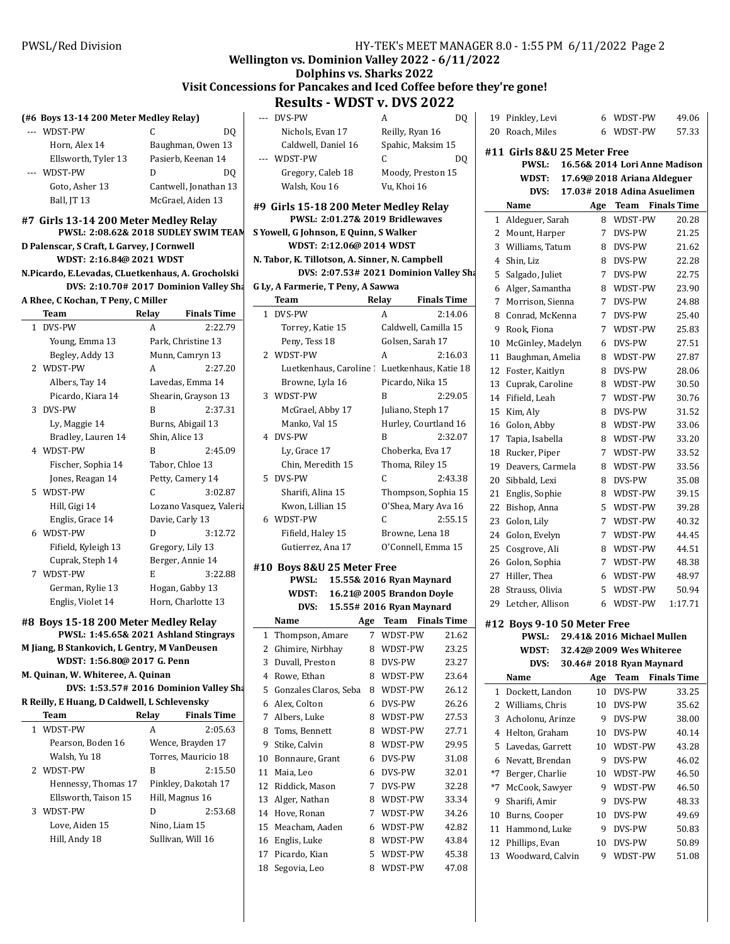### **Wellington vs. Dominion Valley 2022 - 6/11/2022**

# **Dolphins vs. Sharks 2022**

# Visit Concessions for Pancakes and Iced Coffee before they're gone!

**Results - WDST v. DVS 2022** 

|       | (#6 Boys 13-14 200 Meter Medley Relay)                                        |       |                                        | DVS-F<br>---         |
|-------|-------------------------------------------------------------------------------|-------|----------------------------------------|----------------------|
|       | --- WDST-PW                                                                   | C     | DO                                     | Nicl                 |
|       | Horn, Alex 14                                                                 |       | Baughman, Owen 13                      | Calc                 |
|       | Ellsworth, Tyler 13                                                           |       | Pasierb, Keenan 14                     | <b>WDST</b><br>---   |
| $---$ | WDST-PW                                                                       | D     | DO                                     | Greg                 |
|       | Goto, Asher 13                                                                |       | Cantwell, Jonathan 13                  | Wal                  |
|       | Ball, JT 13                                                                   |       | McGrael, Aiden 13                      |                      |
|       | #7 Girls 13-14 200 Meter Medley Relay                                         |       |                                        | #9 Girls<br>P١       |
|       | PWSL: 2:08.62& 2018 SUDLEY SWIM TEAM                                          |       |                                        | S Yowell, G          |
|       | D Palenscar, S Craft, L Garvey, J Cornwell                                    |       |                                        | W                    |
|       | WDST: 2:16.84@ 2021 WDST                                                      |       |                                        | N. Tabor, F          |
|       | N.Picardo, E.Levadas, CLuetkenhaus, A. Grocholski                             |       |                                        |                      |
|       |                                                                               |       | DVS: 2:10.70# 2017 Dominion Valley Sha | G Ly, A Far          |
|       | A Rhee, C Kochan, T Peny, C Miller                                            |       |                                        | Team                 |
|       | Team                                                                          | Relay | <b>Finals Time</b>                     | DVS-F<br>$\mathbf 1$ |
|       | 1 DVS-PW                                                                      | A     | 2:22.79                                | Tori                 |
|       | Young, Emma 13                                                                |       | Park, Christine 13                     | Pen                  |
|       | Begley, Addy 13                                                               |       | Munn, Camryn 13                        | 2 WDST               |
|       | 2 WDST-PW                                                                     | A     | 2:27.20                                | Lue                  |
|       | Albers, Tay 14                                                                |       | Lavedas, Emma 14                       | Bro <sup>'</sup>     |
|       | Picardo, Kiara 14                                                             |       | Shearin, Grayson 13                    | 3 WDST               |
| 3     | DVS-PW                                                                        | B     | 2:37.31                                | McC                  |
|       | Ly, Maggie 14                                                                 |       | Burns, Abigail 13                      | Man                  |
|       | Bradley, Lauren 14                                                            |       | Shin, Alice 13                         | DVS-F<br>4           |
|       | 4 WDST-PW                                                                     | B     | 2:45.09                                | Ly, (                |
|       | Fischer, Sophia 14                                                            |       | Tabor, Chloe 13                        | Chir                 |
|       | Jones, Reagan 14                                                              |       | Petty, Camery 14                       | 5<br>DVS-F           |
| 5     | WDST-PW                                                                       | C     | 3:02.87                                | Shai                 |
|       | Hill, Gigi 14                                                                 |       | Lozano Vasquez, Valeria                | Kwc                  |
|       | Englis, Grace 14                                                              |       | Davie, Carly 13                        | 6 WDST               |
|       | 6 WDST-PW                                                                     | D     | 3:12.72                                | Fifie                |
|       | Fifield, Kyleigh 13                                                           |       | Gregory, Lily 13                       | Guti                 |
|       | Cuprak, Steph 14                                                              |       | Berger, Annie 14                       |                      |
| 7     | WDST-PW                                                                       | E     | 3:22.88                                | #10 Boys             |
|       | German, Rylie 13                                                              |       | Hogan, Gabby 13                        | P١                   |
|       | Englis, Violet 14                                                             |       | Horn, Charlotte 13                     | W                    |
|       |                                                                               |       |                                        | Name                 |
|       | #8 Boys 15-18 200 Meter Medley Relay<br>PWSL: 1:45.65& 2021 Ashland Stingrays |       |                                        | Thom<br>$\mathbf{1}$ |
|       | M Jiang, B Stankovich, L Gentry, M VanDeusen                                  |       |                                        | Ghimi<br>2           |
|       | WDST: 1:56.80@ 2017 G. Penn                                                   |       |                                        | 3<br>Duval           |
|       | M. Quinan, W. Whiteree, A. Quinan                                             |       |                                        | 4 Rowe               |
|       |                                                                               |       | DVS: 1:53.57# 2016 Dominion Valley Sha | 5<br>Gonza           |
|       | R Reilly, E Huang, D Caldwell, L Schlevensky                                  |       |                                        | Alex,<br>6           |
|       | Team                                                                          | Relay | <b>Finals Time</b>                     | 7<br>Alber:          |
| 1     | WDST-PW                                                                       | A     | 2:05.63                                | 8<br>Toms,           |
|       | Pearson, Boden 16                                                             |       | Wence, Brayden 17                      | 9<br>Stike.          |
|       | Walsh, Yu 18                                                                  |       | Torres, Mauricio 18                    | 10<br>Bonna          |
| 2     | WDST-PW                                                                       | B     | 2:15.50                                | Maia,<br>11          |
|       | Hennessy, Thomas 17                                                           |       | Pinkley, Dakotah 17                    | 12<br>Riddi          |
|       | Ellsworth, Taison 15                                                          |       | Hill, Magnus 16                        | 13<br>Alger,         |
| 3     | WDST-PW                                                                       | D     | 2:53.68                                | 14 Hove,             |
|       | Love, Aiden 15                                                                |       | Nino, Liam 15                          | 15<br>Meacl          |
|       | Hill, Andy 18                                                                 |       | Sullivan, Will 16                      | 16<br>Englis         |
|       |                                                                               |       |                                        |                      |

|    | --- DVS-PW                                     |     | A                        | DQ                 |      | 19 Pinkle  |
|----|------------------------------------------------|-----|--------------------------|--------------------|------|------------|
|    | Nichols, Evan 17                               |     | Reilly, Ryan 16          |                    |      | 20 Roach   |
|    | Caldwell, Daniel 16                            |     | Spahic, Maksim 15        |                    |      |            |
|    | --- WDST-PW                                    |     | C                        |                    |      | #11 Girl:  |
|    |                                                |     |                          | DQ                 |      | P١         |
|    | Gregory, Caleb 18                              |     | Moody, Preston 15        |                    |      | W          |
|    | Walsh, Kou 16                                  |     | Vu, Khoi 16              |                    |      |            |
|    | #9 Girls 15-18 200 Meter Medley Relay          |     |                          |                    |      | Name       |
|    | PWSL: 2:01.27& 2019 Bridlewaves                |     |                          |                    | 1    | Aldeg      |
|    | S Yowell, G Johnson, E Quinn, S Walker         |     |                          |                    |      | 2 Moun     |
|    | WDST: 2:12.06@ 2014 WDST                       |     |                          |                    |      | 3 Willia   |
|    | N. Tabor, K. Tillotson, A. Sinner, N. Campbell |     |                          |                    |      | 4 Shin, l  |
|    | DVS: 2:07.53# 2021 Dominion Valley Sha         |     |                          |                    |      |            |
|    | G Ly, A Farmerie, T Peny, A Sawwa              |     |                          |                    |      | 5 Salgao   |
|    |                                                |     |                          |                    |      | 6 Alger,   |
|    | Team                                           |     | Relay                    | <b>Finals Time</b> | 7    | Morri      |
|    | 1 DVS-PW                                       |     | A                        | 2:14.06            | 8    | Conra      |
|    | Torrey, Katie 15                               |     | Caldwell, Camilla 15     |                    | 9    | Rook,      |
|    | Peny, Tess 18                                  |     | Golsen, Sarah 17         |                    | 10   | McGir      |
|    | 2 WDST-PW                                      |     | A                        | 2:16.03            | 11   | Baugh      |
|    | Luetkenhaus, Caroline : Luetkenhaus, Katie 18  |     |                          |                    | 12   | Foster     |
|    | Browne, Lyla 16                                |     | Picardo, Nika 15         |                    | 13   | Cupra      |
| 3  | WDST-PW                                        |     | B                        | 2:29.05            |      | 14 Fifield |
|    | McGrael, Abby 17                               |     | Juliano, Steph 17        |                    | 15   | Kim, A     |
|    | Manko, Val 15                                  |     | Hurley, Courtland 16     |                    | 16   | Golon      |
|    | 4 DVS-PW                                       |     | B                        | 2:32.07            | 17   | Tapia,     |
|    | Ly, Grace 17                                   |     | Choberka, Eva 17         |                    |      | 18 Rucke   |
|    | Chin, Meredith 15                              |     | Thoma, Riley 15          |                    | 19   | Deave      |
| 5. | DVS-PW                                         |     | C                        | 2:43.38            | 20   | Sibbal     |
|    | Sharifi, Alina 15                              |     | Thompson, Sophia 15      |                    | 21   | Englis     |
|    | Kwon, Lillian 15                               |     | O'Shea, Mary Ava 16      |                    | 22   | Bisho      |
| 6  | WDST-PW                                        |     | C                        | 2:55.15            | 23   | Golon      |
|    | Fifield, Haley 15                              |     | Browne, Lena 18          |                    |      | 24 Golon   |
|    | Gutierrez, Ana 17                              |     | O'Connell, Emma 15       |                    | 25   | Cosgr      |
|    |                                                |     |                          |                    |      |            |
|    |                                                |     |                          |                    |      |            |
|    | #10 Boys 8&U 25 Meter Free                     |     |                          |                    |      | 26 Golon   |
|    | PWSL:                                          |     | 15.55& 2016 Ryan Maynard |                    |      | 27 Hiller  |
|    | WDST: 16.21@ 2005 Brandon Doyle                |     |                          |                    |      | 28 Straus  |
|    | DVS:                                           |     | 15.55# 2016 Ryan Maynard |                    | 29   | Letch      |
|    | Name                                           | Age | Team                     | <b>Finals Time</b> |      | #12 Boys   |
| 1  | Thompson, Amare                                | 7   | WDST-PW                  | 21.62              |      | P١         |
| 2  | Ghimire, Nirbhay                               | 8   | WDST-PW                  | 23.25              |      | W          |
| 3  | Duvall, Preston                                | 8   | DVS-PW                   | 23.27              |      |            |
|    | 4 Rowe, Ethan                                  | 8   | WDST-PW                  | 23.64              |      | Name       |
| 5  | Gonzales Claros, Seba                          | 8   | WDST-PW                  | 26.12              | 1    | Docke      |
| 6  | Alex, Colton                                   | 6   | DVS-PW                   | 26.26              | 2    | Willia     |
| 7  | Albers, Luke                                   | 8   | WDST-PW                  | 27.53              | 3    | Achol      |
| 8  | Toms, Bennett                                  | 8   | WDST-PW                  | 27.71              | 4    | Heltor     |
| 9  | Stike, Calvin                                  | 8   | WDST-PW                  | 29.95              | 5    | Laved      |
| 10 | Bonnaure, Grant                                | 6   | DVS-PW                   | 31.08              | 6    | Nevat      |
| 11 | Maia, Leo                                      | 6   | DVS-PW                   | 32.01              | $*7$ | Berge      |
| 12 | Riddick, Mason                                 | 7   | DVS-PW                   | 32.28              | $*7$ | McCo       |
| 13 | Alger, Nathan                                  | 8   | WDST-PW                  | 33.34              | 9    | Sharif     |
| 14 | Hove, Ronan                                    | 7   | WDST-PW                  | 34.26              | 10   | Burns      |
| 15 | Meacham, Aaden                                 | 6   | WDST-PW                  | 42.82              | 11   | Hamn       |
| 16 | Englis, Luke                                   | 8   | WDST-PW                  | 43.84              | 12   | Phillip    |
| 17 | Picardo, Kian                                  | 5   | WDST-PW                  | 45.38              | 13   | Wood       |
| 18 | Segovia, Leo                                   | 8   | WDST-PW                  | 47.08              |      |            |

| 19           | Pinkley, Levi                   | 6                | WDST-PW                   | 49.06                         |
|--------------|---------------------------------|------------------|---------------------------|-------------------------------|
| 20           | Roach, Miles                    | 6                | WDST-PW                   | 57.33                         |
|              | #11 Girls 8&U 25 Meter Free     |                  |                           |                               |
|              | PWSL:                           |                  |                           | 16.56& 2014 Lori Anne Madison |
|              | WDST:                           |                  |                           | 17.69@ 2018 Ariana Aldeguer   |
|              | DVS:                            |                  |                           | 17.03# 2018 Adina Asuelimen   |
|              | Name                            | Age              | Team                      | <b>Finals Time</b>            |
| $\mathbf{1}$ | Aldeguer, Sarah                 | 8                | WDST-PW                   | 20.28                         |
| 2            | Mount, Harper                   | 7                | DVS-PW                    | 21.25                         |
| 3            | Williams, Tatum                 | 8                | DVS-PW                    | 21.62                         |
| 4            | Shin, Liz                       | 8                | DVS-PW                    | 22.28                         |
| 5            | Salgado, Juliet                 | 7                | DVS-PW                    | 22.75                         |
| 6            | Alger, Samantha                 | 8                | WDST-PW                   | 23.90                         |
| 7            | Morrison, Sienna                | 7                | DVS-PW                    | 24.88                         |
| 8            | Conrad, McKenna                 | 7                | DVS-PW                    | 25.40                         |
| 9            | Rook, Fiona                     | 7                | WDST-PW                   | 25.83                         |
| 10           | McGinley, Madelyn               | 6                | DVS-PW                    | 27.51                         |
| 11           | Baughman, Amelia                | 8                | WDST-PW                   | 27.87                         |
| 12           | Foster, Kaitlyn                 | 8                | DVS-PW                    | 28.06                         |
| 13           | Cuprak, Caroline                | 8                | WDST-PW                   | 30.50                         |
| 14           | Fifield, Leah                   | 7                | WDST-PW                   | 30.76                         |
| 15           | Kim, Aly                        | 8                | DVS-PW                    | 31.52                         |
| 16           | Golon, Abby                     | 8                | WDST-PW                   | 33.06                         |
| 17           | Tapia, Isabella                 | 8                | WDST-PW                   | 33.20                         |
| 18           | Rucker, Piper                   | 7                | WDST-PW                   | 33.52                         |
| 19           | Deavers, Carmela                | 8                | WDST-PW                   | 33.56                         |
| 20           | Sibbald, Lexi                   | 8                | DVS-PW                    | 35.08                         |
| 21           | Englis, Sophie                  | 8                | WDST-PW                   | 39.15                         |
| 22           | Bishop, Anna                    | 5                | WDST-PW                   | 39.28                         |
| 23           | Golon, Lily                     | 7                | WDST-PW                   | 40.32                         |
| 24           | Golon, Evelyn                   | 7                | WDST-PW                   | 44.45                         |
| 25           | Cosgrove, Ali                   | 8                | WDST-PW                   | 44.51                         |
| 26           | Golon, Sophia                   | $7^{\circ}$      | WDST-PW                   | 48.38                         |
| 27           | Hiller, Thea                    | 6                | WDST-PW                   | 48.97                         |
| 28           | Strauss, Olivia                 | 5                | WDST-PW                   | 50.94                         |
| 29           | Letcher, Allison                | 6                | WDST-PW                   | 1:17.71                       |
|              |                                 |                  |                           |                               |
|              | #12 Boys 9-10 50 Meter Free     |                  | 29.41& 2016 Michael Mullo |                               |
|              | <b>PWSL:</b><br>WDST:           |                  | 32.42@ 2009 Wes Whiteree  |                               |
|              | DVS:                            |                  | 30.46# 2018 Ryan Maynard  |                               |
|              | Name                            | Age              |                           | <b>Team</b> Finals Time       |
| 1            | Dockett, Landon                 | 10               | DVS-PW                    | 33.25                         |
| 2            | Williams, Chris                 | 10               | DVS-PW                    | 35.62                         |
| 3            | Acholonu, Arinze                | 9                | DVS-PW                    | 38.00                         |
| 4            | Helton, Graham                  | 10               | DVS-PW                    | 40.14                         |
| 5            | Lavedas, Garrett                | 10               | WDST-PW                   | 43.28                         |
| 6            | Nevatt, Brendan                 | 9                | DVS-PW                    | 46.02                         |
| $*7$         | Berger, Charlie                 | 10 <sup>10</sup> | WDST-PW                   | 46.50                         |
| *7           | McCook, Sawyer                  | 9                | WDST-PW                   | 46.50                         |
| 9            | Sharifi, Amir                   | 9                | DVS-PW                    | 48.33                         |
| 10           | Burns, Cooper                   | 10               | DVS-PW                    | 49.69                         |
| 11           |                                 | 9                | DVS-PW                    | 50.83                         |
| 12           | Hammond, Luke<br>Phillips, Evan | 10               | DVS-PW                    | 50.89                         |
| 13           | Woodward, Calvin                | 9                | WDST-PW                   | 51.08                         |
|              |                                 |                  |                           |                               |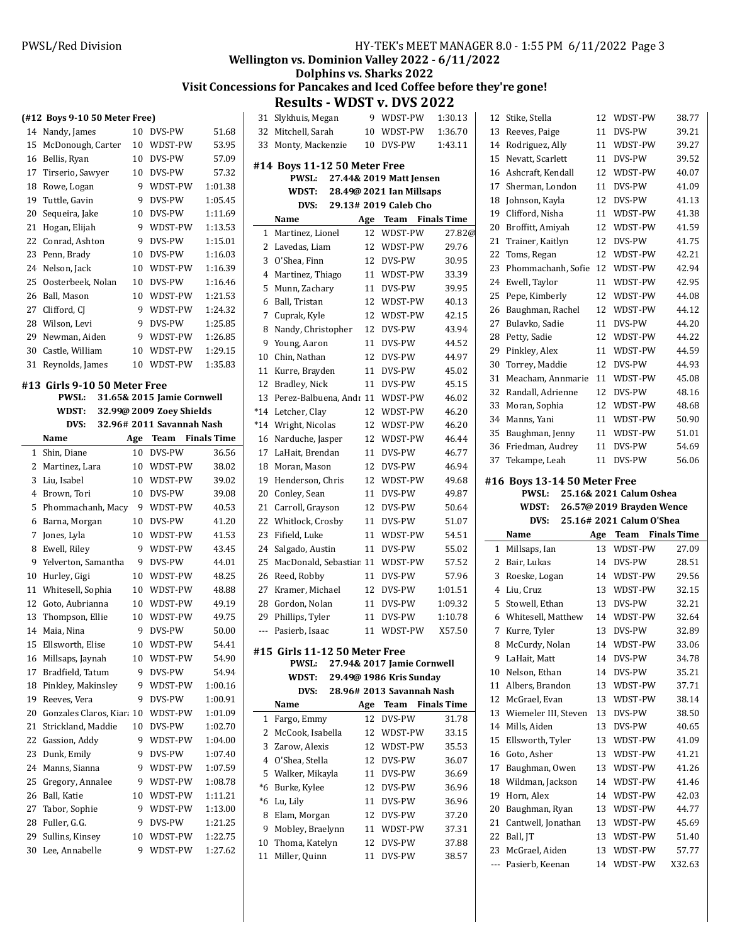# **Wellington vs. Dominion Valley 2022 - 6/11/2022**

# **Dolphins vs. Sharks 2022**

# Visit Concessions for Pancakes and Iced Coffee before they're gone!

**Results - WDST v. DVS 2022** 

|          | (#12 Boys 9-10 50 Meter Free) |    |                            |                    |     |
|----------|-------------------------------|----|----------------------------|--------------------|-----|
|          | 14 Nandy, James               |    | 10 DVS-PW                  | 51.68              |     |
| 15       | McDonough, Carter             | 10 | WDST-PW                    | 53.95              |     |
| 16       | Bellis, Ryan                  | 10 | DVS-PW                     | 57.09              |     |
| 17       | Tirserio, Sawyer              | 10 | DVS-PW                     | 57.32              | #   |
| 18       | Rowe, Logan                   | 9  | WDST-PW                    | 1:01.38            |     |
| 19       | Tuttle, Gavin                 | 9  | DVS-PW                     | 1:05.45            |     |
| 20       | Sequeira, Jake                | 10 | DVS-PW                     | 1:11.69            |     |
| 21       | Hogan, Elijah                 | 9  | WDST-PW                    | 1:13.53            |     |
| 22       | Conrad, Ashton                | 9  | DVS-PW                     | 1:15.01            |     |
| 23       | Penn, Brady                   |    | 10 DVS-PW                  | 1:16.03            |     |
| 24       | Nelson, Jack                  | 10 | WDST-PW                    | 1:16.39            |     |
| 25       | Oosterbeek, Nolan             | 10 | DVS-PW                     | 1:16.46            |     |
| 26       | Ball, Mason                   | 10 | WDST-PW                    | 1:21.53            |     |
| 27       | Clifford, CJ                  | 9  | WDST-PW                    | 1:24.32            |     |
| 28       | Wilson, Levi                  | 9  | DVS-PW                     | 1:25.85            |     |
| 29       | Newman, Aiden                 | 9  | WDST-PW                    | 1:26.85            |     |
|          | 30 Castle, William            | 10 | WDST-PW                    | 1:29.15            |     |
| 31       | Reynolds, James               | 10 | WDST-PW                    | 1:35.83            |     |
|          |                               |    |                            |                    |     |
|          | #13 Girls 9-10 50 Meter Free  |    |                            |                    |     |
|          | <b>PWSL:</b>                  |    | 31.65& 2015 Jamie Cornwell |                    |     |
|          | WDST:                         |    | 32.99@ 2009 Zoey Shields   |                    | $*$ |
|          | DVS:                          |    | 32.96# 2011 Savannah Nash  |                    | $*$ |
|          | Name                          |    | Age Team Finals Time       |                    |     |
| 1        | Shin, Diane                   | 10 | DVS-PW                     | 36.56              |     |
| 2        | Martinez, Lara                | 10 | WDST-PW                    | 38.02              |     |
| 3        | Liu, Isabel                   | 10 | WDST-PW                    | 39.02              |     |
|          |                               |    |                            |                    |     |
| 4        | Brown, Tori                   | 10 | DVS-PW                     | 39.08              |     |
| 5        | Phommachanh, Macy             | 9  | WDST-PW                    | 40.53              |     |
| 6        | Barna, Morgan                 | 10 | DVS-PW                     | 41.20              | :   |
| 7        | Jones, Lyla                   | 10 | WDST-PW                    | 41.53              |     |
| 8        | Ewell, Riley                  | 9  | WDST-PW                    | 43.45              |     |
| 9        | Yelverton, Samantha           | 9  | DVS-PW                     | 44.01              |     |
| 10       | Hurley, Gigi                  | 10 | WDST-PW                    | 48.25              |     |
| 11       | Whitesell, Sophia             | 10 | WDST-PW                    | 48.88              |     |
|          | 12 Goto, Aubrianna            | 10 | WDST-PW                    | 49.19              |     |
| 13       | Thompson, Ellie               | 10 | WDST-PW                    | 49.75              |     |
| 14       | Maia, Nina                    | 9  | DVS-PW                     | 50.00              |     |
| 15       | Ellsworth, Elise              | 10 | WDST-PW                    | 54.41              |     |
| 16       | Millsaps, Jaynah              | 10 | WDST-PW                    | 54.90              | #   |
| 17       | Bradfield, Tatum              | 9  | DVS-PW                     | 54.94              |     |
| 18       | Pinkley, Makinsley            | 9  | WDST-PW                    | 1:00.16            |     |
| 19       | Reeves, Vera                  | 9  | DVS-PW                     | 1:00.91            |     |
| 20       | Gonzales Claros, Kiara 10     |    | WDST-PW                    | 1:01.09            |     |
| 21       | Strickland, Maddie            | 10 | DVS-PW                     | 1:02.70            |     |
| 22       | Gassion, Addy                 | 9  | WDST-PW                    | 1:04.00            |     |
| 23       | Dunk, Emily                   | 9  | DVS-PW                     | 1:07.40            |     |
| 24       | Manns, Sianna                 | 9  | WDST-PW                    | 1:07.59            |     |
| 25       | Gregory, Annalee              | 9  | WDST-PW                    | 1:08.78            |     |
|          |                               | 10 |                            |                    |     |
| 26<br>27 | Ball, Katie                   | 9  | WDST-PW<br>WDST-PW         | 1:11.21<br>1:13.00 |     |
|          | Tabor, Sophie                 | 9  |                            | 1:21.25            |     |
| 28       | Fuller, G.G.                  |    | DVS-PW                     |                    |     |
| 29       | Sullins, Kinsey               | 10 | WDST-PW                    | 1:22.75            |     |
| 30       | Lee, Annabelle                | 9  | WDST-PW                    | 1:27.62            |     |

| 31    | Slykhuis, Megan               | 9   | WDST-PW                                              | 1:30.13            |   |
|-------|-------------------------------|-----|------------------------------------------------------|--------------------|---|
| 32    | Mitchell, Sarah               | 10  | WDST-PW                                              | 1:36.70            |   |
| 33    | Monty, Mackenzie              | 10  | DVS-PW                                               | 1:43.11            |   |
|       | #14 Boys 11-12 50 Meter Free  |     |                                                      |                    |   |
|       | PWSL:                         |     | 27.44& 2019 Matt Jensen                              |                    |   |
|       | WDST:                         |     | 28.49@ 2021 Ian Millsaps                             |                    |   |
|       | DVS:                          |     | 29.13# 2019 Caleb Cho                                |                    |   |
|       | Name                          | Age | <b>Team</b> Finals Time                              |                    |   |
| 1     | Martinez, Lionel              | 12  | WDST-PW                                              | 27.82@             |   |
| 2     | Lavedas. Liam                 | 12  | WDST-PW                                              | 29.76              |   |
| 3     | O'Shea. Finn                  | 12  | DVS-PW                                               | 30.95              |   |
| 4     | Martinez, Thiago              | 11  | WDST-PW                                              | 33.39              |   |
| 5     | Munn, Zachary                 | 11  | DVS-PW                                               | 39.95              |   |
| 6     | Ball, Tristan                 | 12  | WDST-PW                                              | 40.13              |   |
| 7     | Cuprak, Kyle                  | 12  | WDST-PW                                              | 42.15              |   |
| 8     | Nandy, Christopher            | 12  | DVS-PW                                               | 43.94              |   |
| 9     | Young, Aaron                  | 11  | DVS-PW                                               | 44.52              |   |
| 10    | Chin, Nathan                  | 12  | DVS-PW                                               | 44.97              |   |
| 11    | Kurre, Brayden                | 11  | DVS-PW                                               | 45.02              |   |
| 12    | Bradley, Nick                 | 11  | DVS-PW                                               | 45.15              |   |
| 13    | Perez-Balbuena, Andr 11       |     | WDST-PW                                              | 46.02              |   |
| *14   | Letcher, Clay                 | 12  | WDST-PW                                              | 46.20              |   |
| $*14$ | Wright, Nicolas               | 12  | WDST-PW                                              | 46.20              |   |
| 16    | Narduche, Jasper              | 12  | WDST-PW                                              | 46.44              |   |
| 17    | LaHait, Brendan               | 11  | DVS-PW                                               | 46.77              |   |
| 18    | Moran, Mason                  | 12  | DVS-PW                                               | 46.94              |   |
| 19    | Henderson, Chris              | 12  | WDST-PW                                              | 49.68              | # |
| 20    | Conley, Sean                  | 11  | DVS-PW                                               | 49.87              |   |
| 21    | Carroll, Grayson              | 12  | DVS-PW                                               | 50.64              |   |
| 22    | Whitlock, Crosby              | 11  | DVS-PW                                               | 51.07              |   |
| 23    | Fifield, Luke                 | 11  | WDST-PW                                              | 54.51              |   |
| 24    | Salgado, Austin               | 11  | DVS-PW                                               | 55.02              |   |
| 25    | MacDonald, Sebastiar 11       |     | WDST-PW                                              | 57.52              |   |
| 26    | Reed, Robby                   | 11  | DVS-PW                                               | 57.96              |   |
| 27    | Kramer, Michael               | 12  | DVS-PW                                               | 1:01.51            |   |
| 28    | Gordon, Nolan                 | 11  | DVS-PW                                               | 1:09.32            |   |
| 29    | Phillips, Tyler               | 11  | DVS-PW                                               | 1:10.78            |   |
| ---   | Pasierb, Isaac                | 11  | WDST-PW                                              | X57.50             |   |
|       | #15 Girls 11-12 50 Meter Free |     |                                                      |                    |   |
|       | PWSL:                         |     | 27.94& 2017 Jamie Cornwell                           |                    |   |
|       | WDST:<br>DVS:                 |     | 29.49@ 1986 Kris Sunday<br>28.96# 2013 Savannah Nash |                    |   |
|       | Name                          | Age | Team                                                 | <b>Finals Time</b> |   |
| 1     | Fargo, Emmy                   | 12  | DVS-PW                                               | 31.78              |   |
| 2     | McCook, Isabella              | 12  | WDST-PW                                              | 33.15              |   |
| 3     | Zarow, Alexis                 | 12  | WDST-PW                                              | 35.53              |   |
| 4     | O'Shea, Stella                | 12  | DVS-PW                                               | 36.07              |   |
| 5     | Walker, Mikayla               | 11  | DVS-PW                                               | 36.69              |   |
| *6    | Burke, Kylee                  | 12  | DVS-PW                                               | 36.96              |   |
| *6    | Lu, Lily                      | 11  | DVS-PW                                               | 36.96              |   |
| 8     | Elam, Morgan                  | 12  | DVS-PW                                               | 37.20              |   |
| 9     | Mobley, Braelynn              | 11  | WDST-PW                                              | 37.31              |   |
| 10    | Thoma, Katelyn                | 12  | DVS-PW                                               | 37.88              |   |
| 11    | Miller, Quinn                 | 11  | DVS-PW                                               | 38.57              |   |
|       |                               |     |                                                      |                    |   |

| 12        | Stike, Stella                     | 12       | WDST-PW                                              | 38.77                       |
|-----------|-----------------------------------|----------|------------------------------------------------------|-----------------------------|
| 13        | Reeves, Paige                     | 11       | DVS-PW                                               | 39.21                       |
| 14        | Rodriguez, Ally                   | 11       | WDST-PW                                              | 39.27                       |
| 15        | Nevatt, Scarlett                  | 11       | DVS-PW                                               | 39.52                       |
| 16        | Ashcraft, Kendall                 | 12       | WDST-PW                                              | 40.07                       |
| 17        | Sherman, London                   | 11       | DVS-PW                                               | 41.09                       |
| 18        | Johnson, Kayla                    | 12       | DVS-PW                                               | 41.13                       |
| 19        | Clifford, Nisha                   | 11       | WDST-PW                                              | 41.38                       |
| 20        | Broffitt, Amiyah                  | 12       | WDST-PW                                              | 41.59                       |
| 21        | Trainer, Kaitlyn                  | 12       | DVS-PW                                               | 41.75                       |
| 22        | Toms, Regan                       | 12       | WDST-PW                                              | 42.21                       |
| 23        | Phommachanh, Sofie                | 12       | WDST-PW                                              | 42.94                       |
| 24        | Ewell, Taylor                     | 11       | WDST-PW                                              | 42.95                       |
| 25        | Pepe, Kimberly                    | 12       | WDST-PW                                              | 44.08                       |
| 26        | Baughman, Rachel                  | 12       | WDST-PW                                              | 44.12                       |
| 27        | Bulavko, Sadie                    | 11       | DVS-PW                                               | 44.20                       |
| 28        | Petty, Sadie                      | 12       | WDST-PW                                              | 44.22                       |
| 29        | Pinkley, Alex                     | 11       | WDST-PW                                              | 44.59                       |
| 30        | Torrey, Maddie                    | 12       | DVS-PW                                               | 44.93                       |
| 31        | Meacham, Annmarie                 | 11       | WDST-PW                                              | 45.08                       |
| 32        | Randall, Adrienne                 | 12       | DVS-PW                                               | 48.16                       |
| 33        | Moran, Sophia                     | 12       | WDST-PW                                              | 48.68                       |
| 34        | Manns, Yani                       | 11       | WDST-PW                                              | 50.90                       |
| 35        | Baughman, Jenny                   | 11       | WDST-PW                                              | 51.01                       |
| 36        | Friedman, Audrey                  | 11       | DVS-PW                                               | 54.69                       |
| 37        | Tekampe, Leah                     | 11       | DVS-PW                                               | 56.06                       |
|           |                                   |          |                                                      |                             |
|           | <b>PWSL:</b><br>WDST:             |          | 25.16& 2021 Calum Oshea<br>26.57@ 2019 Brayden Wence |                             |
|           | DVS:                              |          | 25.16# 2021 Calum O'Shea                             |                             |
|           | Name                              | Age      | Team                                                 |                             |
| 1         | Millsaps, Ian                     | 13       | WDST-PW                                              | <b>Finals Time</b><br>27.09 |
| 2         | Bair, Lukas                       | 14       | DVS-PW                                               |                             |
| 3         | Roeske, Logan                     | 14       | WDST-PW                                              |                             |
| 4         | Liu, Cruz                         | 13       | WDST-PW                                              | 28.51<br>29.56<br>32.15     |
| 5         | Stowell, Ethan                    | 13       | DVS-PW                                               | 32.21                       |
| 6         | Whitesell, Matthew                | 14       | WDST-PW                                              | 32.64                       |
| 7         | Kurre, Tyler                      | 13       | DVS-PW                                               | 32.89                       |
| 8         | McCurdy, Nolan                    |          | 14 WDST-PW                                           | 33.06                       |
| 9         | LaHait, Matt                      | 14       | DVS-PW                                               | 34.78                       |
| 10        | Nelson, Ethan                     | 14       | DVS-PW                                               | 35.21                       |
| 11        | Albers, Brandon                   | 13       | WDST-PW                                              | 37.71                       |
| 12        | McGrael, Evan                     | 13       | WDST-PW                                              | 38.14                       |
| 13        | Wiemeler III, Steven              | 13       | DVS-PW                                               | 38.50                       |
| 14        | Mills, Aiden                      | 13       | DVS-PW                                               | 40.65                       |
| 15        | Ellsworth, Tyler                  | 13       | WDST-PW                                              | 41.09                       |
| 16        | Goto, Asher                       | 13       | WDST-PW                                              | 41.21                       |
| 17        | Baughman, Owen                    | 13       | WDST-PW                                              | 41.26                       |
| 18        | Wildman, Jackson                  | 14       | WDST-PW                                              | 41.46                       |
| 19        | Horn, Alex                        | 14       | WDST-PW                                              | 42.03                       |
| 20        | Baughman, Ryan                    | 13       | WDST-PW                                              | 44.77                       |
| 21        | Cantwell, Jonathan                | 13       | WDST-PW                                              | 45.69                       |
| 22        | Ball, JT                          | 13       | WDST-PW                                              | 51.40                       |
| 23<br>--- | McGrael, Aiden<br>Pasierb, Keenan | 13<br>14 | WDST-PW<br>WDST-PW                                   | 57.77<br>X32.63             |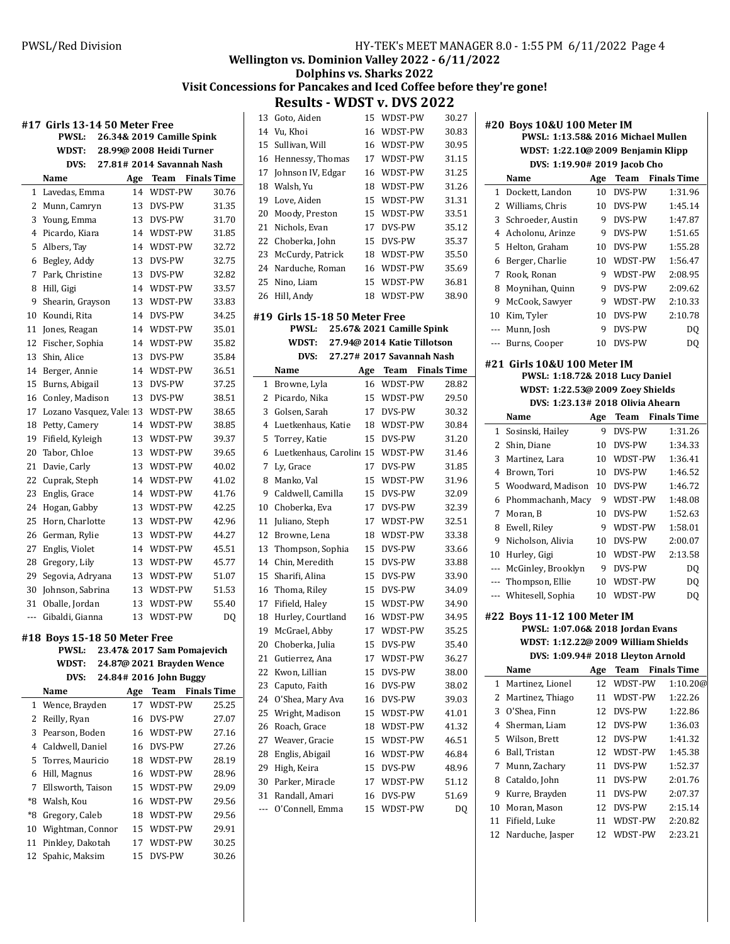# **Wellington vs. Dominion Valley 2022 - 6/11/2022**

## **Dolphins vs. Sharks 2022** Visit Concessions for Pancakes and Iced Coffee before they're gone!

**Results - WDST v. DVS 2022** 

| PWSL:<br>26.34& 2019 Camille Spink<br>28.99@ 2008 Heidi Turner<br>WDST:<br>27.81# 2014 Savannah Nash<br>DVS:<br>Name<br>Team<br>Age<br>WDST-PW<br>Lavedas, Emma<br>14<br>1<br>2<br>Munn, Camryn<br>13<br>DVS-PW<br>3<br>13<br>DVS-PW | <b>Finals Time</b> |
|--------------------------------------------------------------------------------------------------------------------------------------------------------------------------------------------------------------------------------------|--------------------|
|                                                                                                                                                                                                                                      |                    |
|                                                                                                                                                                                                                                      |                    |
|                                                                                                                                                                                                                                      |                    |
|                                                                                                                                                                                                                                      |                    |
|                                                                                                                                                                                                                                      | 30.76              |
|                                                                                                                                                                                                                                      | 31.35              |
| Young, Emma                                                                                                                                                                                                                          | 31.70              |
| Picardo, Kiara<br>4<br>WDST-PW<br>14                                                                                                                                                                                                 | 31.85              |
| 5<br>Albers, Tay<br>14<br>WDST-PW                                                                                                                                                                                                    | 32.72              |
| Begley, Addy<br>DVS-PW<br>6<br>13                                                                                                                                                                                                    | 32.75              |
| 7<br>Park, Christine<br>DVS-PW<br>13                                                                                                                                                                                                 | 32.82              |
| WDST-PW<br>8<br>Hill, Gigi<br>14                                                                                                                                                                                                     | 33.57              |
| WDST-PW<br>9<br>Shearin, Grayson<br>13                                                                                                                                                                                               | 33.83              |
| DVS-PW<br>10<br>Koundi, Rita<br>14                                                                                                                                                                                                   | 34.25              |
| 11<br>Jones, Reagan<br>14<br>WDST-PW                                                                                                                                                                                                 | 35.01              |
| 12<br>Fischer, Sophia<br>WDST-PW<br>14                                                                                                                                                                                               | 35.82              |
| 13<br>DVS-PW<br>Shin, Alice<br>13                                                                                                                                                                                                    | 35.84              |
| 14<br>Berger, Annie<br>14<br>WDST-PW                                                                                                                                                                                                 | 36.51              |
| 15<br>DVS-PW<br>Burns, Abigail<br>13                                                                                                                                                                                                 | 37.25              |
| Conley, Madison<br>DVS-PW<br>16<br>13                                                                                                                                                                                                | 38.51              |
| 17<br>Lozano Vasquez, Vale: 13<br>WDST-PW                                                                                                                                                                                            | 38.65              |
| 18<br>Petty, Camery<br>14<br>WDST-PW                                                                                                                                                                                                 | 38.85              |
| WDST-PW<br>19<br>Fifield, Kyleigh<br>13                                                                                                                                                                                              | 39.37              |
| WDST-PW<br>20<br>Tabor, Chloe<br>13                                                                                                                                                                                                  | 39.65              |
| Davie, Carly<br>WDST-PW<br>21<br>13                                                                                                                                                                                                  | 40.02              |
| 22<br>Cuprak, Steph<br>14<br>WDST-PW                                                                                                                                                                                                 | 41.02              |
| 23<br>Englis, Grace<br>14<br>WDST-PW                                                                                                                                                                                                 | 41.76              |
| 24<br>Hogan, Gabby<br>WDST-PW<br>13                                                                                                                                                                                                  | 42.25              |
| 25<br>Horn, Charlotte<br>WDST-PW<br>13                                                                                                                                                                                               | 42.96              |
| 26<br>German, Rylie<br>13<br>WDST-PW                                                                                                                                                                                                 | 44.27              |
| 27<br>Englis, Violet<br>WDST-PW<br>14                                                                                                                                                                                                | 45.51              |
| 28<br>Gregory, Lily<br>13<br>WDST-PW                                                                                                                                                                                                 | 45.77              |
| 29<br>Segovia, Adryana<br>13<br>WDST-PW                                                                                                                                                                                              | 51.07              |
| 30<br>Johnson, Sabrina<br>13<br>WDST-PW                                                                                                                                                                                              | 51.53              |
| 31<br>Oballe, Jordan<br>13<br>WDST-PW                                                                                                                                                                                                | 55.40              |
| WDST-PW<br>Gibaldi, Gianna<br>13<br>---                                                                                                                                                                                              | DQ                 |
| #18 Boys 15-18 50 Meter Free<br>23.47& 2017 Sam Pomajevich<br>PWSL:<br>24.87@ 2021 Brayden Wence<br>WDST:                                                                                                                            |                    |
| 24.84# 2016 John Buggy<br>DVS:                                                                                                                                                                                                       |                    |
| Name<br>Age<br>Team                                                                                                                                                                                                                  | <b>Finals Time</b> |
| WDST-PW<br>Wence, Brayden<br>17<br>1                                                                                                                                                                                                 | 25.25              |
| $\overline{\mathbf{c}}$<br>Reilly, Ryan<br>DVS-PW<br>16                                                                                                                                                                              | 27.07              |
| Pearson, Boden<br>3<br>16<br>WDST-PW                                                                                                                                                                                                 | 27.16              |
| Caldwell, Daniel<br>4<br>DVS-PW<br>16                                                                                                                                                                                                | 27.26              |
| 5<br>Torres, Mauricio<br>18<br>WDST-PW                                                                                                                                                                                               | 28.19              |
| 6<br>Hill, Magnus<br>16<br>WDST-PW                                                                                                                                                                                                   | 28.96              |
| 7<br>Ellsworth, Taison<br>15<br>WDST-PW                                                                                                                                                                                              | 29.09              |
| $*8$<br>Walsh, Kou<br>16<br>WDST-PW                                                                                                                                                                                                  | 29.56              |
| *8<br>Gregory, Caleb<br>WDST-PW<br>18                                                                                                                                                                                                | 29.56              |
| Wightman, Connor<br>15<br>WDST-PW<br>10                                                                                                                                                                                              | 29.91              |
| Pinkley, Dakotah<br>11<br>17<br>WDST-PW                                                                                                                                                                                              | 30.25              |
| Spahic, Maksim<br>12<br>15<br>DVS-PW                                                                                                                                                                                                 | 30.26              |

| 13  | Goto, Aiden                   | 15  | WDST-PW                     | 30.27              |
|-----|-------------------------------|-----|-----------------------------|--------------------|
| 14  | Vu, Khoi                      | 16  | WDST-PW                     | 30.83              |
| 15  | Sullivan, Will                | 16  | WDST-PW                     | 30.95              |
| 16  | Hennessy, Thomas              | 17  | WDST-PW                     | 31.15              |
| 17  | Johnson IV, Edgar             | 16  | WDST-PW                     | 31.25              |
| 18  | Walsh, Yu                     | 18  | WDST-PW                     | 31.26              |
| 19  | Love, Aiden                   | 15  | WDST-PW                     | 31.31              |
| 20  | Moody, Preston                | 15  | WDST-PW                     | 33.51              |
| 21  | Nichols, Evan                 | 17  | DVS-PW                      | 35.12              |
| 22  | Choberka, John                | 15  | DVS-PW                      | 35.37              |
| 23  | McCurdy, Patrick              | 18  | WDST-PW                     | 35.50              |
| 24  | Narduche, Roman               | 16  | WDST-PW                     | 35.69              |
| 25  | Nino, Liam                    | 15  | WDST-PW                     | 36.81              |
| 26  | Hill, Andy                    | 18  | WDST-PW                     | 38.90              |
|     |                               |     |                             |                    |
|     | #19 Girls 15-18 50 Meter Free |     |                             |                    |
|     | PWSL:                         |     | 25.67& 2021 Camille Spink   |                    |
|     | WDST:                         |     | 27.94@ 2014 Katie Tillotson |                    |
|     | DVS:                          |     | 27.27# 2017 Savannah Nash   |                    |
|     | Name                          | Age | Team                        | <b>Finals Time</b> |
| 1   | Browne, Lyla                  | 16  | WDST-PW                     | 28.82              |
| 2   | Picardo, Nika                 | 15  | WDST-PW                     | 29.50              |
| 3   | Golsen, Sarah                 | 17  | DVS-PW                      | 30.32              |
| 4   | Luetkenhaus, Katie            | 18  | WDST-PW                     | 30.84              |
| 5   | Torrey, Katie                 | 15  | DVS-PW                      | 31.20              |
| 6   | Luetkenhaus, Carolin(15       |     | WDST-PW                     | 31.46              |
| 7   | Ly, Grace                     | 17  | DVS-PW                      | 31.85              |
| 8   | Manko, Val                    | 15  | WDST-PW                     | 31.96              |
| 9   | Caldwell, Camilla             | 15  | DVS-PW                      | 32.09              |
| 10  | Choberka, Eva                 | 17  | DVS-PW                      | 32.39              |
| 11  | Juliano, Steph                | 17  | WDST-PW                     | 32.51              |
| 12  | Browne, Lena                  | 18  | WDST-PW                     | 33.38              |
| 13  | Thompson, Sophia              | 15  | DVS-PW                      | 33.66              |
| 14  | Chin, Meredith                | 15  | DVS-PW                      | 33.88              |
| 15  | Sharifi, Alina                | 15  | DVS-PW                      | 33.90              |
| 16  | Thoma, Riley                  | 15  | DVS-PW                      | 34.09              |
| 17  | Fifield, Haley                | 15  | WDST-PW                     | 34.90              |
| 18  | Hurley, Courtland             | 16  | WDST-PW                     | 34.95              |
| 19  | McGrael, Abby                 | 17  | WDST-PW                     | 35.25              |
| 20  | Choberka, Julia               | 15  | DVS-PW                      | 35.40              |
| 21  | Gutierrez, Ana                | 17  | WDST-PW                     | 36.27              |
| 22  | Kwon, Lillian                 | 15  | DVS-PW                      | 38.00              |
| 23  | Caputo, Faith                 | 16  | DVS-PW                      | 38.02              |
| 24  | O'Shea, Mary Ava              | 16  | DVS-PW                      | 39.03              |
| 25  | Wright, Madison               | 15  | WDST-PW                     | 41.01              |
| 26  | Roach, Grace                  | 18  | WDST-PW                     | 41.32              |
| 27  | Weaver, Gracie                | 15  | WDST-PW                     | 46.51              |
| 28  | Englis, Abigail               | 16  | WDST-PW                     | 46.84              |
| 29  | High, Keira                   | 15  | DVS-PW                      | 48.96              |
| 30  | Parker, Miracle               | 17  | WDST-PW                     | 51.12              |
| 31  | Randall, Amari                | 16  | DVS-PW                      | 51.69              |
| --- | O'Connell, Emma               | 15  | WDST-PW                     | DQ                 |
|     |                               |     |                             |                    |

| #20 Boys 10&U 100 Meter IM         |                                     |     |                         |                    |  |  |  |
|------------------------------------|-------------------------------------|-----|-------------------------|--------------------|--|--|--|
| PWSL: 1:13.58& 2016 Michael Mullen |                                     |     |                         |                    |  |  |  |
| WDST: 1:22.10@ 2009 Benjamin Klipp |                                     |     |                         |                    |  |  |  |
|                                    | DVS: 1:19.90# 2019 Jacob Cho        |     |                         |                    |  |  |  |
|                                    | Name                                |     | Age Team Finals Time    |                    |  |  |  |
| $\mathbf{1}$                       | Dockett, Landon                     | 10  | DVS-PW                  | 1:31.96            |  |  |  |
|                                    | 2 Williams, Chris                   | 10  | DVS-PW                  | 1:45.14            |  |  |  |
| 3                                  | Schroeder, Austin                   | 9   | DVS-PW                  | 1:47.87            |  |  |  |
| 4                                  | Acholonu, Arinze                    | 9   | DVS-PW                  | 1:51.65            |  |  |  |
| 5                                  | Helton, Graham                      |     | 10 DVS-PW               | 1:55.28            |  |  |  |
| 6                                  | Berger, Charlie                     | 10  | WDST-PW                 | 1:56.47            |  |  |  |
| 7                                  | Rook, Ronan                         | 9   | WDST-PW                 | 2:08.95            |  |  |  |
| 8                                  | Moynihan, Quinn                     | 9   | DVS-PW                  | 2:09.62            |  |  |  |
| 9                                  | McCook, Sawyer                      | 9   | WDST-PW                 | 2:10.33            |  |  |  |
|                                    | 10 Kim, Tyler                       | 10  | DVS-PW                  | 2:10.78            |  |  |  |
| $---$                              | Munn, Josh                          | 9   | DVS-PW                  | DQ                 |  |  |  |
| ---                                | Burns, Cooper                       | 10  | DVS-PW                  | DQ                 |  |  |  |
|                                    | #21 Girls 10&U 100 Meter IM         |     |                         |                    |  |  |  |
|                                    | PWSL: 1:18.72& 2018 Lucy Daniel     |     |                         |                    |  |  |  |
|                                    | WDST: 1:22.53@ 2009 Zoey Shields    |     |                         |                    |  |  |  |
|                                    | DVS: 1:23.13# 2018 Olivia Ahearn    |     |                         |                    |  |  |  |
|                                    | Name                                | Age | <b>Team</b> Finals Time |                    |  |  |  |
| 1                                  | Sosinski, Hailey                    | 9   | DVS-PW                  | 1:31.26            |  |  |  |
| $\mathbf{2}^{\prime}$              | Shin, Diane                         |     | 10 DVS-PW               | 1:34.33            |  |  |  |
| 3                                  | Martinez, Lara                      |     | 10 WDST-PW              | 1:36.41            |  |  |  |
| 4                                  | Brown, Tori                         | 10  | DVS-PW                  | 1:46.52            |  |  |  |
| 5                                  | Woodward, Madison                   |     | 10 DVS-PW               | 1:46.72            |  |  |  |
| 6                                  | Phommachanh, Macy                   | 9   | WDST-PW                 | 1:48.08            |  |  |  |
| 7                                  | Moran, B                            | 10  | DVS-PW                  | 1:52.63            |  |  |  |
| 8                                  | Ewell, Riley                        | 9   | WDST-PW                 | 1:58.01            |  |  |  |
| 9                                  | Nicholson, Alivia                   |     | 10 DVS-PW               | 2:00.07            |  |  |  |
| 10                                 | Hurley, Gigi                        | 10  | WDST-PW                 | 2:13.58            |  |  |  |
| ---                                | McGinley, Brooklyn                  |     | 9 DVS-PW                | DQ                 |  |  |  |
| ---                                | Thompson, Ellie                     | 10  | WDST-PW                 | <b>DQ</b>          |  |  |  |
| ---                                | Whitesell, Sophia                   | 10  | WDST-PW                 | DQ                 |  |  |  |
|                                    |                                     |     |                         |                    |  |  |  |
|                                    | #22 Boys 11-12 100 Meter IM         |     |                         |                    |  |  |  |
|                                    | PWSL: 1:07.06& 2018 Jordan Evans    |     |                         |                    |  |  |  |
|                                    | WDST: 1:12.22@ 2009 William Shields |     |                         |                    |  |  |  |
|                                    | DVS: 1:09.94# 2018 Lleyton Arnold   |     | Team                    |                    |  |  |  |
|                                    | Name                                | Age | WDST-PW                 | <b>Finals Time</b> |  |  |  |
| 1                                  | Martinez, Lionel                    | 12  |                         | 1:10.20@           |  |  |  |
| 2                                  | Martinez, Thiago                    | 11  | WDST-PW                 | 1:22.26            |  |  |  |
| 3                                  | O'Shea. Finn                        | 12  | DVS-PW                  | 1:22.86            |  |  |  |
| 4                                  | Sherman, Liam                       | 12  | DVS-PW                  | 1:36.03            |  |  |  |
| 5                                  | Wilson, Brett                       | 12  | DVS-PW                  | 1:41.32            |  |  |  |
| 6                                  | Ball, Tristan                       | 12  | WDST-PW                 | 1:45.38            |  |  |  |
| 7                                  | Munn, Zachary                       | 11  | DVS-PW                  | 1:52.37            |  |  |  |
| 8                                  | Cataldo, John                       | 11  | DVS-PW                  | 2:01.76            |  |  |  |
| 9                                  | Kurre, Brayden                      | 11  | DVS-PW                  | 2:07.37            |  |  |  |

 Moran, Mason 12 DVS-PW 2:15.14 Fi7ield, Luke 11 WDST-PW 2:20.82 Narduche, Jasper 12 WDST-PW 2:23.21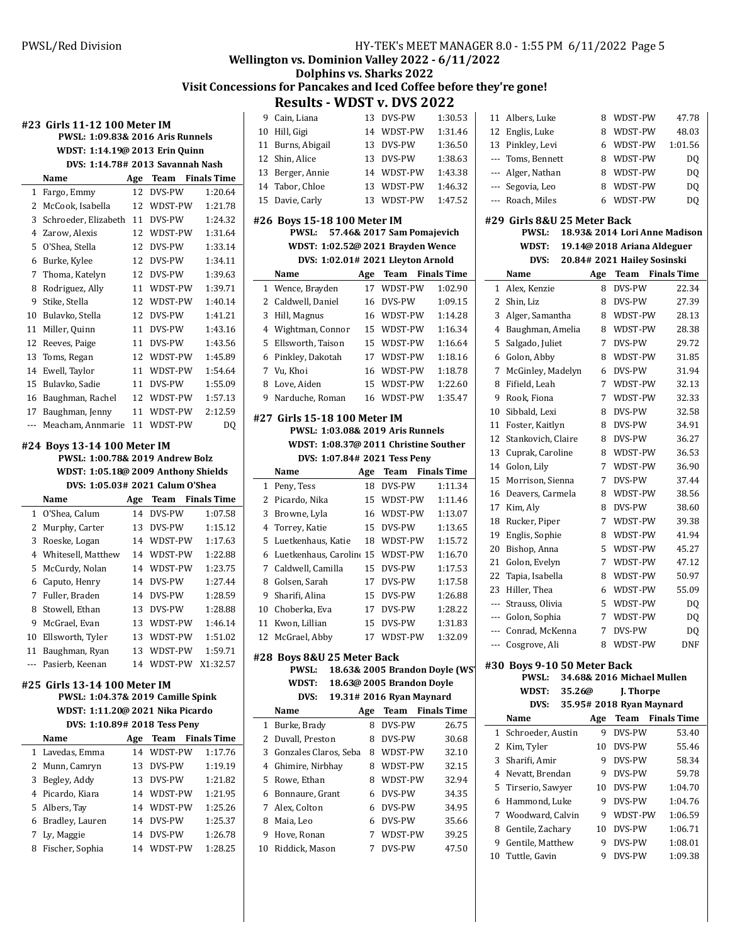**#23 Girls 11-12 100 Meter IM**

# **Wellington vs. Dominion Valley 2022 - 6/11/2022**

### **Dolphins vs. Sharks 2022**

# Visit Concessions for Pancakes and Iced Coffee before they're gone!

|        | PWSL: 1:09.83& 2016 Aris Runnels     |           |                     |                               | 10<br>HI             |
|--------|--------------------------------------|-----------|---------------------|-------------------------------|----------------------|
|        | 11<br>Βu                             |           |                     |                               |                      |
|        | DVS: 1:14.78# 2013 Savannah Nash     |           |                     |                               | 12<br>Sh             |
|        | Name                                 | Age       | Team                | <b>Finals Time</b>            | 13<br>Be             |
| 1      | Fargo, Emmy                          | 12        | DVS-PW              | 1:20.64                       | 14<br>Ta             |
| 2      | McCook, Isabella                     | 12        | WDST-PW             | 1:21.78                       | 15<br>Da             |
| 3      | Schroeder, Elizabeth                 | 11        | DVS-PW              | 1:24.32                       | #26 B                |
| 4      | Zarow, Alexis                        | 12        | WDST-PW             | 1:31.64                       |                      |
| 5      | O'Shea, Stella                       | 12        | DVS-PW              | 1:33.14                       |                      |
| 6      | Burke, Kylee                         | 12        | DVS-PW              | 1:34.11                       |                      |
| 7      | Thoma, Katelyn                       | 12        | DVS-PW              | 1:39.63                       | Na                   |
| 8      | Rodriguez, Ally                      | 11        | WDST-PW             | 1:39.71                       | $\mathbf{1}$<br>W    |
| 9      | Stike, Stella                        | 12        | WDST-PW             | 1:40.14                       | 2<br>Ca              |
| 10     | Bulavko, Stella                      | 12        | DVS-PW              | 1:41.21                       | 3<br>Hi              |
| 11     | Miller, Quinn                        | 11        | DVS-PW              | 1:43.16                       | $\overline{4}$<br>W  |
| 12     | Reeves, Paige                        | 11        | DVS-PW              | 1:43.56                       | 5<br>Ell             |
| 13     | Toms, Regan                          | 12        | WDST-PW             | 1:45.89                       | 6<br>Pi              |
| 14     | Ewell, Taylor                        | 11        | WDST-PW             | 1:54.64                       | 7<br>Vu              |
| 15     | Bulavko, Sadie                       | 11        | DVS-PW              | 1:55.09                       | 8<br>Lo              |
| 16     | Baughman, Rachel                     | 12        | WDST-PW             | 1:57.13                       | 9<br>Nε              |
| 17     | Baughman, Jenny                      | 11        | WDST-PW             | 2:12.59                       |                      |
| ---    | Meacham, Annmarie                    | 11        | WDST-PW             | DQ                            | #27 G                |
|        |                                      |           |                     |                               |                      |
|        | #24 Boys 13-14 100 Meter IM          |           |                     |                               |                      |
|        | PWSL: 1:00.78& 2019 Andrew Bolz      |           |                     |                               |                      |
|        | WDST: 1:05.18@ 2009 Anthony Shields  |           |                     |                               | Na                   |
|        | DVS: 1:05.03# 2021 Calum O'Shea      |           |                     |                               | Pe<br>1              |
|        | Name                                 | Age<br>14 | Team<br>DVS-PW      | <b>Finals Time</b><br>1:07.58 | 2<br>Pi<br>3<br>Br   |
| 1<br>2 | O'Shea, Calum                        |           | DVS-PW              | 1:15.12                       | 4<br>To              |
| 3      | Murphy, Carter<br>Roeske, Logan      | 13<br>14  | WDST-PW             | 1:17.63                       | 5<br>Lu              |
| 4      | Whitesell, Matthew                   | 14        | WDST-PW             | 1:22.88                       | 6<br>Lu              |
| 5      | McCurdy, Nolan                       | 14        | WDST-PW             | 1:23.75                       | 7<br>Ca              |
| 6      | Caputo, Henry                        | 14        | DVS-PW              | 1:27.44                       | 8<br>Go              |
| 7      | Fuller, Braden                       | 14        | DVS-PW              | 1:28.59                       | 9<br>Sh              |
| 8      | Stowell, Ethan                       | 13        | DVS-PW              | 1:28.88                       | 10<br>Ch             |
| 9      | McGrael, Evan                        | 13        | WDST-PW             | 1:46.14                       | 11<br>Kv             |
| 10     | Ellsworth, Tyler                     | 13        | WDST-PW             | 1:51.02                       | 12<br>M <sub>0</sub> |
| 11     | Baughman, Ryan                       | 13        | WDST-PW             | 1:59.71                       |                      |
|        | Pasierb, Keenan                      |           | 14 WDST-PW X1:32.57 |                               | #28 B                |
|        |                                      |           |                     |                               |                      |
|        | #25 Girls 13-14 100 Meter IM         |           |                     |                               |                      |
|        | PWSL: 1:04.37& 2019 Camille Spink    |           |                     |                               |                      |
|        | WDST: 1:11.20@ 2021 Nika Picardo     |           |                     |                               | Na                   |
|        | DVS: 1:10.89# 2018 Tess Peny<br>Name |           | Team                | <b>Finals Time</b>            | 1<br>Βu<br>2         |
| 1      | Lavedas, Emma                        | Age<br>14 | WDST-PW             | 1:17.76                       | Dι<br>3<br>Go        |
| 2      | Munn, Camryn                         | 13        | DVS-PW              | 1:19.19                       | $\overline{4}$<br>Gh |
| 3      | Begley, Addy                         | 13        | DVS-PW              | 1:21.82                       | 5<br>Ro              |
|        | 4 Picardo, Kiara                     | 14        | WDST-PW             | 1:21.95                       | 6<br>Bo              |
|        | 5 Albers, Tay                        | 14        |                     | 1:25.26                       | 7                    |
| 6      | Bradley, Lauren                      | 14        | WDST-PW<br>DVS-PW   | 1:25.37                       | Al<br>8<br>M         |
|        |                                      |           |                     | 1:26.78                       | 9                    |
| 7      | Ly, Maggie                           | 14        | DVS-PW              |                               | H                    |
| 8      | Fischer, Sophia                      | 14        | WDST-PW             | 1:28.25                       | 10<br>Ri             |
|        |                                      |           |                     |                               |                      |
|        |                                      |           |                     |                               |                      |
|        |                                      |           |                     |                               |                      |
|        |                                      |           |                     |                               |                      |
|        |                                      |           |                     |                               |                      |

|                | <b>Results - WDST v. DVS 2022</b>                                |        |                                |                    |
|----------------|------------------------------------------------------------------|--------|--------------------------------|--------------------|
| 9              | Cain, Liana                                                      |        | 13 DVS-PW                      | 1:30.53            |
| 10             | Hill, Gigi                                                       | 14     | WDST-PW                        | 1:31.46            |
| 11             | Burns, Abigail                                                   | 13     | DVS-PW                         | 1:36.50            |
| 12             | Shin, Alice                                                      | 13     | DVS-PW                         | 1:38.63            |
| 13             | Berger, Annie                                                    | 14     | WDST-PW                        | 1:43.38            |
| 14             | Tabor, Chloe                                                     | 13     | WDST-PW                        | 1:46.32            |
| 15             | Davie, Carly                                                     | 13     | WDST-PW                        | 1:47.52            |
|                |                                                                  |        |                                |                    |
|                | #26 Boys 15-18 100 Meter IM<br><b>PWSL:</b>                      |        | 57.46& 2017 Sam Pomajevich     |                    |
|                | WDST: 1:02.52@ 2021 Brayden Wence                                |        |                                |                    |
|                | DVS: 1:02.01# 2021 Lleyton Arnold                                |        |                                |                    |
|                | Name                                                             |        | Age Team Finals Time           |                    |
| 1              | Wence, Brayden                                                   | 17     | WDST-PW                        | 1:02.90            |
| 2              | Caldwell, Daniel                                                 |        | 16 DVS-PW                      | 1:09.15            |
| 3              | Hill, Magnus                                                     | 16     | WDST-PW                        | 1:14.28            |
|                | 4 Wightman, Connor                                               | 15     | WDST-PW                        | 1:16.34            |
| 5              | Ellsworth, Taison                                                | 15     | WDST-PW                        | 1:16.64            |
|                | 6 Pinkley, Dakotah                                               |        | 17 WDST-PW                     | 1:18.16            |
|                | 7 Vu, Khoi                                                       | 16     | WDST-PW                        | 1:18.78            |
| 8              | Love, Aiden                                                      |        | 15 WDST-PW                     | 1:22.60            |
| 9              | Narduche, Roman                                                  |        | 16 WDST-PW                     | 1:35.47            |
|                |                                                                  |        |                                |                    |
|                | #27 Girls 15-18 100 Meter IM<br>PWSL: 1:03.08& 2019 Aris Runnels |        |                                |                    |
|                | WDST: 1:08.37@ 2011 Christine Souther                            |        |                                |                    |
|                | DVS: 1:07.84# 2021 Tess Peny                                     |        |                                |                    |
|                |                                                                  |        |                                |                    |
|                |                                                                  |        |                                |                    |
|                | Name                                                             | 18     | Age Team Finals Time           |                    |
| 1<br>2         | Peny, Tess                                                       | 15     | DVS-PW<br>WDST-PW              | 1:11.34<br>1:11.46 |
| 3              | Picardo, Nika<br>Browne, Lyla                                    | 16     | WDST-PW                        | 1:13.07            |
| $\overline{4}$ | Torrey, Katie                                                    | 15     | DVS-PW                         | 1:13.65            |
| 5              | Luetkenhaus, Katie                                               | 18     | WDST-PW                        | 1:15.72            |
| 6              | Luetkenhaus, Caroline 15 WDST-PW                                 |        |                                | 1:16.70            |
| 7              | Caldwell, Camilla                                                | 15     | DVS-PW                         | 1:17.53            |
| 8              | Golsen, Sarah                                                    | 17     | DVS-PW                         | 1:17.58            |
| 9              | Sharifi, Alina                                                   | 15     | DVS-PW                         | 1:26.88            |
| 10             | Choberka, Eva                                                    | 17     | DVS-PW                         | 1:28.22            |
| 11             | Kwon, Lillian                                                    | 15     | DVS-PW                         | 1:31.83            |
| 12             | McGrael, Abby                                                    | 17     | WDST-PW                        | 1:32.09            |
|                |                                                                  |        |                                |                    |
|                | #28 Boys 8&U 25 Meter Back<br>PWSL:                              |        | 18.63& 2005 Brandon Doyle (WS' |                    |
|                | WDST:                                                            |        | 18.63@ 2005 Brandon Doyle      |                    |
|                | DVS:                                                             |        | 19.31# 2016 Ryan Maynard       |                    |
|                | Name                                                             | Age    | <b>Team</b> Finals Time        |                    |
| 1              | Burke, Brady                                                     | 8      | DVS-PW                         | 26.75              |
| 2              | Duvall, Preston                                                  | 8      | DVS-PW                         | 30.68              |
| 3              | Gonzales Claros, Seba                                            | 8      | WDST-PW                        | 32.10              |
| 4              | Ghimire, Nirbhay                                                 | 8      | WDST-PW                        | 32.15              |
| 5              | Rowe, Ethan                                                      | 8      | WDST-PW                        | 32.94              |
| 6              | Bonnaure, Grant                                                  | 6      | DVS-PW                         | 34.35              |
| 7              | Alex, Colton                                                     | 6      | DVS-PW                         | 34.95              |
| 8              | Maia, Leo                                                        | 6      | DVS-PW                         | 35.66              |
| 9<br>10        | Hove, Ronan<br>Riddick, Mason                                    | 7<br>7 | WDST-PW<br>DVS-PW              | 39.25<br>47.50     |

| 11             | Albers, Luke                 | 8        | WDST-PW                                                | 47.78              |  |  |  |
|----------------|------------------------------|----------|--------------------------------------------------------|--------------------|--|--|--|
| 12             | Englis, Luke                 | 8        | WDST-PW                                                | 48.03              |  |  |  |
| 13             | Pinkley, Levi                | 6        | WDST-PW                                                | 1:01.56            |  |  |  |
| $---$          | Toms, Bennett                | 8        | WDST-PW                                                | DO.                |  |  |  |
| ---            | Alger, Nathan                | 8        | WDST-PW                                                | DQ                 |  |  |  |
| $\overline{a}$ | Segovia, Leo                 | 8        | WDST-PW                                                | DQ                 |  |  |  |
| $---$          | Roach, Miles                 | 6        | WDST-PW                                                | DQ                 |  |  |  |
|                |                              |          |                                                        |                    |  |  |  |
|                | #29  Girls 8&U 25 Meter Back |          |                                                        |                    |  |  |  |
|                | <b>PWSL:</b>                 |          | 18.93& 2014 Lori Anne Madison                          |                    |  |  |  |
|                | <b>WDST:</b>                 |          | 19.14@ 2018 Ariana Aldeguer                            |                    |  |  |  |
|                | DVS:<br>Name                 |          | 20.84# 2021 Hailey Sosinski<br><b>Team</b> Finals Time |                    |  |  |  |
| 1              | Alex, Kenzie                 | Age<br>8 | DVS-PW                                                 | 22.34              |  |  |  |
| 2              | Shin, Liz                    | 8        | DVS-PW                                                 | 27.39              |  |  |  |
| 3              | Alger, Samantha              | 8        | WDST-PW                                                | 28.13              |  |  |  |
| 4              | Baughman, Amelia             | 8        | WDST-PW                                                | 28.38              |  |  |  |
| 5              | Salgado, Juliet              | 7        | DVS-PW                                                 | 29.72              |  |  |  |
| 6              | Golon, Abby                  | 8        | WDST-PW                                                | 31.85              |  |  |  |
| 7              | McGinley, Madelyn            | 6        | DVS-PW                                                 | 31.94              |  |  |  |
| 8              | Fifield, Leah                | 7        | WDST-PW                                                | 32.13              |  |  |  |
| 9              | Rook, Fiona                  | 7        | WDST-PW                                                | 32.33              |  |  |  |
| 10             | Sibbald, Lexi                | 8        | DVS-PW                                                 | 32.58              |  |  |  |
| 11             | Foster, Kaitlyn              | 8        | DVS-PW                                                 | 34.91              |  |  |  |
| 12             | Stankovich, Claire           | 8        | DVS-PW                                                 | 36.27              |  |  |  |
| 13             | Cuprak, Caroline             | 8        | WDST-PW                                                | 36.53              |  |  |  |
|                | 14 Golon, Lily               | 7        | WDST-PW                                                | 36.90              |  |  |  |
| 15             | Morrison, Sienna             | 7        | DVS-PW                                                 | 37.44              |  |  |  |
| 16             | Deavers, Carmela             | 8        | WDST-PW                                                | 38.56              |  |  |  |
| 17             | Kim, Aly                     | 8        | DVS-PW                                                 | 38.60              |  |  |  |
| 18             | Rucker, Piper                | 7        | WDST-PW                                                | 39.38              |  |  |  |
| 19             | Englis, Sophie               | 8        | WDST-PW                                                | 41.94              |  |  |  |
| 20             | Bishop, Anna                 | 5        | WDST-PW                                                | 45.27              |  |  |  |
| 21             | Golon, Evelyn                | 7        | WDST-PW                                                | 47.12              |  |  |  |
| 22             | Tapia, Isabella              | 8        | WDST-PW                                                | 50.97              |  |  |  |
| 23             | Hiller, Thea                 | 6        | WDST-PW                                                | 55.09              |  |  |  |
| $\overline{a}$ | Strauss, Olivia              | 5        | WDST-PW                                                | DQ                 |  |  |  |
| $---$          | Golon, Sophia                | 7        | WDST-PW                                                | DQ                 |  |  |  |
| ---            | Conrad, McKenna              | 7        | DVS-PW                                                 | DQ                 |  |  |  |
|                | Cosgrove, Ali                | 8        | WDST-PW                                                | DNF                |  |  |  |
|                | #30 Bovs 9-10 50 Meter Back  |          |                                                        |                    |  |  |  |
|                | <b>PWSL:</b>                 |          | 34.68& 2016 Michael Mullen                             |                    |  |  |  |
|                | WDST:<br>35.26@              |          | J. Thorpe                                              |                    |  |  |  |
|                | DVS:                         |          | 35.95# 2018 Ryan Maynard                               |                    |  |  |  |
|                | Name                         | Age      | Team                                                   | <b>Finals Time</b> |  |  |  |
| 1              | Schroeder, Austin            | 9        | DVS-PW                                                 | 53.40              |  |  |  |
| 2              | Kim, Tyler                   | 10       | DVS-PW                                                 | 55.46              |  |  |  |
| 3              | Sharifi, Amir                | 9        | DVS-PW                                                 | 58.34              |  |  |  |
| 4              | Nevatt, Brendan              | 9        | DVS-PW                                                 | 59.78              |  |  |  |
| 5              | Tirserio, Sawyer             | 10       | DVS-PW                                                 | 1:04.70            |  |  |  |
| 6              | Hammond, Luke                | 9        | DVS-PW                                                 | 1:04.76            |  |  |  |
| 7              | Woodward, Calvin             | 9        | WDST-PW                                                | 1:06.59            |  |  |  |
| 8              | Gentile, Zachary             | 10       | DVS-PW                                                 | 1:06.71            |  |  |  |
| 9              | Gentile, Matthew             | 9        | DVS-PW                                                 | 1:08.01            |  |  |  |
| 10             | Tuttle, Gavin                | 9        | DVS-PW                                                 | 1:09.38            |  |  |  |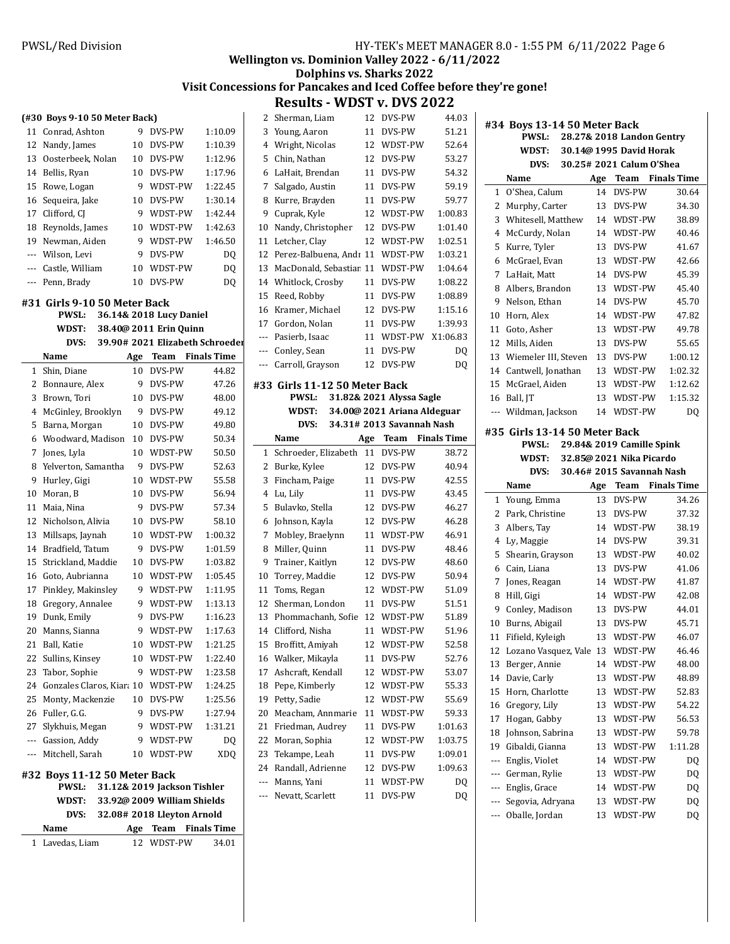### **Wellington vs. Dominion Valley 2022 - 6/11/2022**

## **Dolphins vs. Sharks 2022**

# Visit Concessions for Pancakes and Iced Coffee before they're gone!

**Results - WDST v. DVS 2022** 

| 9<br>DVS-PW<br>11<br>Conrad, Ashton<br>1:10.09<br>12<br>DVS-PW<br>1:10.39<br>Nandy, James<br>10<br>13<br>Oosterbeek, Nolan<br>10 DVS-PW<br>1:12.96<br>DVS-PW<br>1:17.96<br>14<br>Bellis, Ryan<br>10<br>15<br>WDST-PW<br>1:22.45<br>Rowe, Logan<br>9<br>DVS-PW<br>1:30.14<br>16<br>Sequeira, Jake<br>10<br>Clifford, CJ<br>1:42.44<br>17<br>9<br>WDST-PW<br>WDST-PW<br>1:42.63<br>18<br>Reynolds, James<br>10<br>WDST-PW<br>1:46.50<br>19<br>Newman, Aiden<br>9<br>Wilson, Levi<br>9<br>DVS-PW<br>DO.<br>$\overline{a}$<br>Castle, William<br>WDST-PW<br>DQ<br>10<br>---<br>DVS-PW<br>Penn, Brady<br>10<br>DQ<br>---<br>#31 Girls 9-10 50 Meter Back<br><b>PWSL:</b><br>36.14& 2018 Lucy Daniel<br>38.40@ 2011 Erin Quinn<br>WDST:<br>39.90# 2021 Elizabeth Schroeder<br>DVS:<br><b>Finals Time</b><br>Name<br>Team<br>Age<br>DVS-PW<br>Shin, Diane<br>10<br>44.82<br>1<br>2<br>DVS-PW<br>47.26<br>Bonnaure, Alex<br>9<br>#3<br>3<br>Brown, Tori<br>10<br>DVS-PW<br>48.00<br>4<br>DVS-PW<br>McGinley, Brooklyn<br>9<br>49.12<br>5<br>DVS-PW<br>Barna, Morgan<br>10<br>49.80<br>6<br>Woodward, Madison<br>10<br>DVS-PW<br>50.34<br>WDST-PW<br>50.50<br>7<br>Jones, Lyla<br>10<br>DVS-PW<br>52.63<br>8<br>Yelverton, Samantha<br>9<br>55.58<br>9<br>Hurley, Gigi<br>10<br>WDST-PW<br>10<br>Moran, B<br>10<br>DVS-PW<br>56.94<br>DVS-PW<br>11<br>Maia, Nina<br>9<br>57.34<br>DVS-PW<br>12<br>Nicholson, Alivia<br>10<br>58.10<br>13<br>WDST-PW<br>Millsaps, Jaynah<br>10<br>1:00.32<br>Bradfield, Tatum<br>DVS-PW<br>1:01.59<br>14<br>9<br>15<br>Strickland, Maddie<br>DVS-PW<br>1:03.82<br>10<br>WDST-PW<br>1:05.45<br>16<br>Goto, Aubrianna<br>10<br>17<br>WDST-PW<br>1:11.95<br>Pinkley, Makinsley<br>9<br>1:13.13<br>18<br>Gregory, Annalee<br>9<br>WDST-PW<br>19<br>Dunk, Emily<br>9<br>DVS-PW<br>1:16.23<br>20<br>9<br>WDST-PW<br>1:17.63<br>Manns, Sianna<br>1:21.25<br>21 Ball, Katie<br>10 WDST-PW<br>22<br>Sullins, Kinsey<br>WDST-PW<br>1:22.40<br>10<br>23<br>Tabor, Sophie<br>9<br>WDST-PW<br>1:23.58<br>24 Gonzales Claros, Kiara 10 WDST-PW<br>1:24.25<br>25<br>Monty, Mackenzie<br>10 DVS-PW<br>1:25.56<br>26 Fuller, G.G.<br>1:27.94<br>9<br>DVS-PW<br>27 Slykhuis, Megan<br>1:31.21<br>9<br>WDST-PW<br>--- Gassion, Addy<br>9<br>WDST-PW<br>D <sub>0</sub><br>Mitchell, Sarah<br>WDST-PW<br>XDQ<br>10<br>$\cdots$<br>#32 Boys 11-12 50 Meter Back<br>PWSL:<br>31.12& 2019 Jackson Tishler<br>33.92@ 2009 William Shields<br>WDST:<br>DVS:<br>32.08# 2018 Lleyton Arnold<br>Team<br><b>Finals Time</b><br>Name<br>Age<br>12<br>WDST-PW<br>34.01<br>1<br>Lavedas, Liam | (#30 Boys 9-10 50 Meter Back) |  | 2          |
|------------------------------------------------------------------------------------------------------------------------------------------------------------------------------------------------------------------------------------------------------------------------------------------------------------------------------------------------------------------------------------------------------------------------------------------------------------------------------------------------------------------------------------------------------------------------------------------------------------------------------------------------------------------------------------------------------------------------------------------------------------------------------------------------------------------------------------------------------------------------------------------------------------------------------------------------------------------------------------------------------------------------------------------------------------------------------------------------------------------------------------------------------------------------------------------------------------------------------------------------------------------------------------------------------------------------------------------------------------------------------------------------------------------------------------------------------------------------------------------------------------------------------------------------------------------------------------------------------------------------------------------------------------------------------------------------------------------------------------------------------------------------------------------------------------------------------------------------------------------------------------------------------------------------------------------------------------------------------------------------------------------------------------------------------------------------------------------------------------------------------------------------------------------------------------------------------------------------------------------------------------------------------------------------------------------------------------------------------------------------------------------------------------------------------------------------------------------------------------------------------------------------------------------------------------------------------------|-------------------------------|--|------------|
|                                                                                                                                                                                                                                                                                                                                                                                                                                                                                                                                                                                                                                                                                                                                                                                                                                                                                                                                                                                                                                                                                                                                                                                                                                                                                                                                                                                                                                                                                                                                                                                                                                                                                                                                                                                                                                                                                                                                                                                                                                                                                                                                                                                                                                                                                                                                                                                                                                                                                                                                                                                    |                               |  | 3          |
|                                                                                                                                                                                                                                                                                                                                                                                                                                                                                                                                                                                                                                                                                                                                                                                                                                                                                                                                                                                                                                                                                                                                                                                                                                                                                                                                                                                                                                                                                                                                                                                                                                                                                                                                                                                                                                                                                                                                                                                                                                                                                                                                                                                                                                                                                                                                                                                                                                                                                                                                                                                    |                               |  | 4          |
|                                                                                                                                                                                                                                                                                                                                                                                                                                                                                                                                                                                                                                                                                                                                                                                                                                                                                                                                                                                                                                                                                                                                                                                                                                                                                                                                                                                                                                                                                                                                                                                                                                                                                                                                                                                                                                                                                                                                                                                                                                                                                                                                                                                                                                                                                                                                                                                                                                                                                                                                                                                    |                               |  | 5          |
|                                                                                                                                                                                                                                                                                                                                                                                                                                                                                                                                                                                                                                                                                                                                                                                                                                                                                                                                                                                                                                                                                                                                                                                                                                                                                                                                                                                                                                                                                                                                                                                                                                                                                                                                                                                                                                                                                                                                                                                                                                                                                                                                                                                                                                                                                                                                                                                                                                                                                                                                                                                    |                               |  | $\epsilon$ |
|                                                                                                                                                                                                                                                                                                                                                                                                                                                                                                                                                                                                                                                                                                                                                                                                                                                                                                                                                                                                                                                                                                                                                                                                                                                                                                                                                                                                                                                                                                                                                                                                                                                                                                                                                                                                                                                                                                                                                                                                                                                                                                                                                                                                                                                                                                                                                                                                                                                                                                                                                                                    |                               |  | 7          |
|                                                                                                                                                                                                                                                                                                                                                                                                                                                                                                                                                                                                                                                                                                                                                                                                                                                                                                                                                                                                                                                                                                                                                                                                                                                                                                                                                                                                                                                                                                                                                                                                                                                                                                                                                                                                                                                                                                                                                                                                                                                                                                                                                                                                                                                                                                                                                                                                                                                                                                                                                                                    |                               |  | ε          |
|                                                                                                                                                                                                                                                                                                                                                                                                                                                                                                                                                                                                                                                                                                                                                                                                                                                                                                                                                                                                                                                                                                                                                                                                                                                                                                                                                                                                                                                                                                                                                                                                                                                                                                                                                                                                                                                                                                                                                                                                                                                                                                                                                                                                                                                                                                                                                                                                                                                                                                                                                                                    |                               |  | ç          |
|                                                                                                                                                                                                                                                                                                                                                                                                                                                                                                                                                                                                                                                                                                                                                                                                                                                                                                                                                                                                                                                                                                                                                                                                                                                                                                                                                                                                                                                                                                                                                                                                                                                                                                                                                                                                                                                                                                                                                                                                                                                                                                                                                                                                                                                                                                                                                                                                                                                                                                                                                                                    |                               |  | 10         |
|                                                                                                                                                                                                                                                                                                                                                                                                                                                                                                                                                                                                                                                                                                                                                                                                                                                                                                                                                                                                                                                                                                                                                                                                                                                                                                                                                                                                                                                                                                                                                                                                                                                                                                                                                                                                                                                                                                                                                                                                                                                                                                                                                                                                                                                                                                                                                                                                                                                                                                                                                                                    |                               |  | 11         |
|                                                                                                                                                                                                                                                                                                                                                                                                                                                                                                                                                                                                                                                                                                                                                                                                                                                                                                                                                                                                                                                                                                                                                                                                                                                                                                                                                                                                                                                                                                                                                                                                                                                                                                                                                                                                                                                                                                                                                                                                                                                                                                                                                                                                                                                                                                                                                                                                                                                                                                                                                                                    |                               |  | 12         |
|                                                                                                                                                                                                                                                                                                                                                                                                                                                                                                                                                                                                                                                                                                                                                                                                                                                                                                                                                                                                                                                                                                                                                                                                                                                                                                                                                                                                                                                                                                                                                                                                                                                                                                                                                                                                                                                                                                                                                                                                                                                                                                                                                                                                                                                                                                                                                                                                                                                                                                                                                                                    |                               |  | 13         |
|                                                                                                                                                                                                                                                                                                                                                                                                                                                                                                                                                                                                                                                                                                                                                                                                                                                                                                                                                                                                                                                                                                                                                                                                                                                                                                                                                                                                                                                                                                                                                                                                                                                                                                                                                                                                                                                                                                                                                                                                                                                                                                                                                                                                                                                                                                                                                                                                                                                                                                                                                                                    |                               |  | 14         |
|                                                                                                                                                                                                                                                                                                                                                                                                                                                                                                                                                                                                                                                                                                                                                                                                                                                                                                                                                                                                                                                                                                                                                                                                                                                                                                                                                                                                                                                                                                                                                                                                                                                                                                                                                                                                                                                                                                                                                                                                                                                                                                                                                                                                                                                                                                                                                                                                                                                                                                                                                                                    |                               |  | 15         |
|                                                                                                                                                                                                                                                                                                                                                                                                                                                                                                                                                                                                                                                                                                                                                                                                                                                                                                                                                                                                                                                                                                                                                                                                                                                                                                                                                                                                                                                                                                                                                                                                                                                                                                                                                                                                                                                                                                                                                                                                                                                                                                                                                                                                                                                                                                                                                                                                                                                                                                                                                                                    |                               |  | 16         |
|                                                                                                                                                                                                                                                                                                                                                                                                                                                                                                                                                                                                                                                                                                                                                                                                                                                                                                                                                                                                                                                                                                                                                                                                                                                                                                                                                                                                                                                                                                                                                                                                                                                                                                                                                                                                                                                                                                                                                                                                                                                                                                                                                                                                                                                                                                                                                                                                                                                                                                                                                                                    |                               |  | 17         |
|                                                                                                                                                                                                                                                                                                                                                                                                                                                                                                                                                                                                                                                                                                                                                                                                                                                                                                                                                                                                                                                                                                                                                                                                                                                                                                                                                                                                                                                                                                                                                                                                                                                                                                                                                                                                                                                                                                                                                                                                                                                                                                                                                                                                                                                                                                                                                                                                                                                                                                                                                                                    |                               |  | ---        |
|                                                                                                                                                                                                                                                                                                                                                                                                                                                                                                                                                                                                                                                                                                                                                                                                                                                                                                                                                                                                                                                                                                                                                                                                                                                                                                                                                                                                                                                                                                                                                                                                                                                                                                                                                                                                                                                                                                                                                                                                                                                                                                                                                                                                                                                                                                                                                                                                                                                                                                                                                                                    |                               |  | ---        |
|                                                                                                                                                                                                                                                                                                                                                                                                                                                                                                                                                                                                                                                                                                                                                                                                                                                                                                                                                                                                                                                                                                                                                                                                                                                                                                                                                                                                                                                                                                                                                                                                                                                                                                                                                                                                                                                                                                                                                                                                                                                                                                                                                                                                                                                                                                                                                                                                                                                                                                                                                                                    |                               |  | ---        |
|                                                                                                                                                                                                                                                                                                                                                                                                                                                                                                                                                                                                                                                                                                                                                                                                                                                                                                                                                                                                                                                                                                                                                                                                                                                                                                                                                                                                                                                                                                                                                                                                                                                                                                                                                                                                                                                                                                                                                                                                                                                                                                                                                                                                                                                                                                                                                                                                                                                                                                                                                                                    |                               |  |            |
|                                                                                                                                                                                                                                                                                                                                                                                                                                                                                                                                                                                                                                                                                                                                                                                                                                                                                                                                                                                                                                                                                                                                                                                                                                                                                                                                                                                                                                                                                                                                                                                                                                                                                                                                                                                                                                                                                                                                                                                                                                                                                                                                                                                                                                                                                                                                                                                                                                                                                                                                                                                    |                               |  |            |
|                                                                                                                                                                                                                                                                                                                                                                                                                                                                                                                                                                                                                                                                                                                                                                                                                                                                                                                                                                                                                                                                                                                                                                                                                                                                                                                                                                                                                                                                                                                                                                                                                                                                                                                                                                                                                                                                                                                                                                                                                                                                                                                                                                                                                                                                                                                                                                                                                                                                                                                                                                                    |                               |  |            |
|                                                                                                                                                                                                                                                                                                                                                                                                                                                                                                                                                                                                                                                                                                                                                                                                                                                                                                                                                                                                                                                                                                                                                                                                                                                                                                                                                                                                                                                                                                                                                                                                                                                                                                                                                                                                                                                                                                                                                                                                                                                                                                                                                                                                                                                                                                                                                                                                                                                                                                                                                                                    |                               |  |            |
|                                                                                                                                                                                                                                                                                                                                                                                                                                                                                                                                                                                                                                                                                                                                                                                                                                                                                                                                                                                                                                                                                                                                                                                                                                                                                                                                                                                                                                                                                                                                                                                                                                                                                                                                                                                                                                                                                                                                                                                                                                                                                                                                                                                                                                                                                                                                                                                                                                                                                                                                                                                    |                               |  |            |
|                                                                                                                                                                                                                                                                                                                                                                                                                                                                                                                                                                                                                                                                                                                                                                                                                                                                                                                                                                                                                                                                                                                                                                                                                                                                                                                                                                                                                                                                                                                                                                                                                                                                                                                                                                                                                                                                                                                                                                                                                                                                                                                                                                                                                                                                                                                                                                                                                                                                                                                                                                                    |                               |  | 1          |
|                                                                                                                                                                                                                                                                                                                                                                                                                                                                                                                                                                                                                                                                                                                                                                                                                                                                                                                                                                                                                                                                                                                                                                                                                                                                                                                                                                                                                                                                                                                                                                                                                                                                                                                                                                                                                                                                                                                                                                                                                                                                                                                                                                                                                                                                                                                                                                                                                                                                                                                                                                                    |                               |  | 2          |
|                                                                                                                                                                                                                                                                                                                                                                                                                                                                                                                                                                                                                                                                                                                                                                                                                                                                                                                                                                                                                                                                                                                                                                                                                                                                                                                                                                                                                                                                                                                                                                                                                                                                                                                                                                                                                                                                                                                                                                                                                                                                                                                                                                                                                                                                                                                                                                                                                                                                                                                                                                                    |                               |  | 3          |
|                                                                                                                                                                                                                                                                                                                                                                                                                                                                                                                                                                                                                                                                                                                                                                                                                                                                                                                                                                                                                                                                                                                                                                                                                                                                                                                                                                                                                                                                                                                                                                                                                                                                                                                                                                                                                                                                                                                                                                                                                                                                                                                                                                                                                                                                                                                                                                                                                                                                                                                                                                                    |                               |  | 4          |
|                                                                                                                                                                                                                                                                                                                                                                                                                                                                                                                                                                                                                                                                                                                                                                                                                                                                                                                                                                                                                                                                                                                                                                                                                                                                                                                                                                                                                                                                                                                                                                                                                                                                                                                                                                                                                                                                                                                                                                                                                                                                                                                                                                                                                                                                                                                                                                                                                                                                                                                                                                                    |                               |  | 5          |
|                                                                                                                                                                                                                                                                                                                                                                                                                                                                                                                                                                                                                                                                                                                                                                                                                                                                                                                                                                                                                                                                                                                                                                                                                                                                                                                                                                                                                                                                                                                                                                                                                                                                                                                                                                                                                                                                                                                                                                                                                                                                                                                                                                                                                                                                                                                                                                                                                                                                                                                                                                                    |                               |  | $\epsilon$ |
|                                                                                                                                                                                                                                                                                                                                                                                                                                                                                                                                                                                                                                                                                                                                                                                                                                                                                                                                                                                                                                                                                                                                                                                                                                                                                                                                                                                                                                                                                                                                                                                                                                                                                                                                                                                                                                                                                                                                                                                                                                                                                                                                                                                                                                                                                                                                                                                                                                                                                                                                                                                    |                               |  | 7          |
|                                                                                                                                                                                                                                                                                                                                                                                                                                                                                                                                                                                                                                                                                                                                                                                                                                                                                                                                                                                                                                                                                                                                                                                                                                                                                                                                                                                                                                                                                                                                                                                                                                                                                                                                                                                                                                                                                                                                                                                                                                                                                                                                                                                                                                                                                                                                                                                                                                                                                                                                                                                    |                               |  | ε          |
|                                                                                                                                                                                                                                                                                                                                                                                                                                                                                                                                                                                                                                                                                                                                                                                                                                                                                                                                                                                                                                                                                                                                                                                                                                                                                                                                                                                                                                                                                                                                                                                                                                                                                                                                                                                                                                                                                                                                                                                                                                                                                                                                                                                                                                                                                                                                                                                                                                                                                                                                                                                    |                               |  | ç          |
|                                                                                                                                                                                                                                                                                                                                                                                                                                                                                                                                                                                                                                                                                                                                                                                                                                                                                                                                                                                                                                                                                                                                                                                                                                                                                                                                                                                                                                                                                                                                                                                                                                                                                                                                                                                                                                                                                                                                                                                                                                                                                                                                                                                                                                                                                                                                                                                                                                                                                                                                                                                    |                               |  | 10         |
|                                                                                                                                                                                                                                                                                                                                                                                                                                                                                                                                                                                                                                                                                                                                                                                                                                                                                                                                                                                                                                                                                                                                                                                                                                                                                                                                                                                                                                                                                                                                                                                                                                                                                                                                                                                                                                                                                                                                                                                                                                                                                                                                                                                                                                                                                                                                                                                                                                                                                                                                                                                    |                               |  | 11         |
|                                                                                                                                                                                                                                                                                                                                                                                                                                                                                                                                                                                                                                                                                                                                                                                                                                                                                                                                                                                                                                                                                                                                                                                                                                                                                                                                                                                                                                                                                                                                                                                                                                                                                                                                                                                                                                                                                                                                                                                                                                                                                                                                                                                                                                                                                                                                                                                                                                                                                                                                                                                    |                               |  | 12         |
|                                                                                                                                                                                                                                                                                                                                                                                                                                                                                                                                                                                                                                                                                                                                                                                                                                                                                                                                                                                                                                                                                                                                                                                                                                                                                                                                                                                                                                                                                                                                                                                                                                                                                                                                                                                                                                                                                                                                                                                                                                                                                                                                                                                                                                                                                                                                                                                                                                                                                                                                                                                    |                               |  | 13         |
|                                                                                                                                                                                                                                                                                                                                                                                                                                                                                                                                                                                                                                                                                                                                                                                                                                                                                                                                                                                                                                                                                                                                                                                                                                                                                                                                                                                                                                                                                                                                                                                                                                                                                                                                                                                                                                                                                                                                                                                                                                                                                                                                                                                                                                                                                                                                                                                                                                                                                                                                                                                    |                               |  | 14         |
|                                                                                                                                                                                                                                                                                                                                                                                                                                                                                                                                                                                                                                                                                                                                                                                                                                                                                                                                                                                                                                                                                                                                                                                                                                                                                                                                                                                                                                                                                                                                                                                                                                                                                                                                                                                                                                                                                                                                                                                                                                                                                                                                                                                                                                                                                                                                                                                                                                                                                                                                                                                    |                               |  | 15         |
|                                                                                                                                                                                                                                                                                                                                                                                                                                                                                                                                                                                                                                                                                                                                                                                                                                                                                                                                                                                                                                                                                                                                                                                                                                                                                                                                                                                                                                                                                                                                                                                                                                                                                                                                                                                                                                                                                                                                                                                                                                                                                                                                                                                                                                                                                                                                                                                                                                                                                                                                                                                    |                               |  | 16         |
|                                                                                                                                                                                                                                                                                                                                                                                                                                                                                                                                                                                                                                                                                                                                                                                                                                                                                                                                                                                                                                                                                                                                                                                                                                                                                                                                                                                                                                                                                                                                                                                                                                                                                                                                                                                                                                                                                                                                                                                                                                                                                                                                                                                                                                                                                                                                                                                                                                                                                                                                                                                    |                               |  | 17         |
|                                                                                                                                                                                                                                                                                                                                                                                                                                                                                                                                                                                                                                                                                                                                                                                                                                                                                                                                                                                                                                                                                                                                                                                                                                                                                                                                                                                                                                                                                                                                                                                                                                                                                                                                                                                                                                                                                                                                                                                                                                                                                                                                                                                                                                                                                                                                                                                                                                                                                                                                                                                    |                               |  | 18         |
|                                                                                                                                                                                                                                                                                                                                                                                                                                                                                                                                                                                                                                                                                                                                                                                                                                                                                                                                                                                                                                                                                                                                                                                                                                                                                                                                                                                                                                                                                                                                                                                                                                                                                                                                                                                                                                                                                                                                                                                                                                                                                                                                                                                                                                                                                                                                                                                                                                                                                                                                                                                    |                               |  | 19         |
|                                                                                                                                                                                                                                                                                                                                                                                                                                                                                                                                                                                                                                                                                                                                                                                                                                                                                                                                                                                                                                                                                                                                                                                                                                                                                                                                                                                                                                                                                                                                                                                                                                                                                                                                                                                                                                                                                                                                                                                                                                                                                                                                                                                                                                                                                                                                                                                                                                                                                                                                                                                    |                               |  | 20         |
|                                                                                                                                                                                                                                                                                                                                                                                                                                                                                                                                                                                                                                                                                                                                                                                                                                                                                                                                                                                                                                                                                                                                                                                                                                                                                                                                                                                                                                                                                                                                                                                                                                                                                                                                                                                                                                                                                                                                                                                                                                                                                                                                                                                                                                                                                                                                                                                                                                                                                                                                                                                    |                               |  | 21         |
|                                                                                                                                                                                                                                                                                                                                                                                                                                                                                                                                                                                                                                                                                                                                                                                                                                                                                                                                                                                                                                                                                                                                                                                                                                                                                                                                                                                                                                                                                                                                                                                                                                                                                                                                                                                                                                                                                                                                                                                                                                                                                                                                                                                                                                                                                                                                                                                                                                                                                                                                                                                    |                               |  | 22         |
|                                                                                                                                                                                                                                                                                                                                                                                                                                                                                                                                                                                                                                                                                                                                                                                                                                                                                                                                                                                                                                                                                                                                                                                                                                                                                                                                                                                                                                                                                                                                                                                                                                                                                                                                                                                                                                                                                                                                                                                                                                                                                                                                                                                                                                                                                                                                                                                                                                                                                                                                                                                    |                               |  | 23         |
|                                                                                                                                                                                                                                                                                                                                                                                                                                                                                                                                                                                                                                                                                                                                                                                                                                                                                                                                                                                                                                                                                                                                                                                                                                                                                                                                                                                                                                                                                                                                                                                                                                                                                                                                                                                                                                                                                                                                                                                                                                                                                                                                                                                                                                                                                                                                                                                                                                                                                                                                                                                    |                               |  | 24         |
|                                                                                                                                                                                                                                                                                                                                                                                                                                                                                                                                                                                                                                                                                                                                                                                                                                                                                                                                                                                                                                                                                                                                                                                                                                                                                                                                                                                                                                                                                                                                                                                                                                                                                                                                                                                                                                                                                                                                                                                                                                                                                                                                                                                                                                                                                                                                                                                                                                                                                                                                                                                    |                               |  | ---        |
|                                                                                                                                                                                                                                                                                                                                                                                                                                                                                                                                                                                                                                                                                                                                                                                                                                                                                                                                                                                                                                                                                                                                                                                                                                                                                                                                                                                                                                                                                                                                                                                                                                                                                                                                                                                                                                                                                                                                                                                                                                                                                                                                                                                                                                                                                                                                                                                                                                                                                                                                                                                    |                               |  |            |
|                                                                                                                                                                                                                                                                                                                                                                                                                                                                                                                                                                                                                                                                                                                                                                                                                                                                                                                                                                                                                                                                                                                                                                                                                                                                                                                                                                                                                                                                                                                                                                                                                                                                                                                                                                                                                                                                                                                                                                                                                                                                                                                                                                                                                                                                                                                                                                                                                                                                                                                                                                                    |                               |  |            |
|                                                                                                                                                                                                                                                                                                                                                                                                                                                                                                                                                                                                                                                                                                                                                                                                                                                                                                                                                                                                                                                                                                                                                                                                                                                                                                                                                                                                                                                                                                                                                                                                                                                                                                                                                                                                                                                                                                                                                                                                                                                                                                                                                                                                                                                                                                                                                                                                                                                                                                                                                                                    |                               |  |            |
|                                                                                                                                                                                                                                                                                                                                                                                                                                                                                                                                                                                                                                                                                                                                                                                                                                                                                                                                                                                                                                                                                                                                                                                                                                                                                                                                                                                                                                                                                                                                                                                                                                                                                                                                                                                                                                                                                                                                                                                                                                                                                                                                                                                                                                                                                                                                                                                                                                                                                                                                                                                    |                               |  |            |

|                | RESUILS - WDST V. DVS 2022                    |     |                             |                    |
|----------------|-----------------------------------------------|-----|-----------------------------|--------------------|
| 2              | Sherman, Liam                                 | 12  | DVS-PW                      | 44.03              |
| 3              | Young, Aaron                                  | 11  | DVS-PW                      | 51.21              |
| $\overline{4}$ | Wright, Nicolas                               | 12  | WDST-PW                     | 52.64              |
| 5              | Chin, Nathan                                  | 12  | DVS-PW                      | 53.27              |
| 6              | LaHait, Brendan                               | 11  | DVS-PW                      | 54.32              |
| 7              | Salgado, Austin                               | 11  | DVS-PW                      | 59.19              |
| 8              | Kurre, Brayden                                | 11  | DVS-PW                      | 59.77              |
| 9              | Cuprak, Kyle                                  | 12  | WDST-PW                     | 1:00.83            |
| 10             | Nandy, Christopher                            | 12  | DVS-PW                      | 1:01.40            |
| 11             | Letcher, Clay                                 | 12  | WDST-PW                     | 1:02.51            |
| 12             | Perez-Balbuena, Andr 11                       |     | WDST-PW                     | 1:03.21            |
| 13             | MacDonald, Sebastiar 11                       |     | WDST-PW                     | 1:04.64            |
| 14             | Whitlock, Crosby                              | 11  | DVS-PW                      | 1:08.22            |
| 15             | Reed, Robby                                   | 11  | DVS-PW                      | 1:08.89            |
| 16             | Kramer, Michael                               | 12  | DVS-PW                      | 1:15.16            |
| 17             | Gordon, Nolan                                 | 11  | DVS-PW                      | 1:39.93            |
| $\overline{a}$ | Pasierb. Isaac                                | 11  | WDST-PW                     | X1:06.83           |
| ---            | Conley, Sean                                  | 11  | DVS-PW                      | DQ                 |
| ---            | Carroll, Grayson                              | 12  | DVS-PW                      | DQ                 |
|                |                                               |     |                             |                    |
|                | #33 Girls 11-12 50 Meter Back<br><b>PWSL:</b> |     | 31.82& 2021 Alyssa Sagle    |                    |
|                | WDST:                                         |     | 34.00@ 2021 Ariana Aldeguar |                    |
|                | DVS:                                          |     | 34.31# 2013 Savannah Nash   |                    |
|                | Name                                          | Age | Team                        | <b>Finals Time</b> |
| 1              | Schroeder, Elizabeth                          | 11  | DVS-PW                      | 38.72              |
| 2              | Burke, Kylee                                  | 12  | DVS-PW                      | 40.94              |
| 3              | Fincham, Paige                                | 11  | DVS-PW                      | 42.55              |
| 4              | Lu, Lily                                      | 11  | DVS-PW                      | 43.45              |
| 5              | Bulavko, Stella                               | 12  | DVS-PW                      | 46.27              |
| 6              | Johnson, Kayla                                | 12  | DVS-PW                      | 46.28              |
| 7              | Mobley, Braelynn                              | 11  | WDST-PW                     | 46.91              |
| 8              | Miller, Quinn                                 | 11  | DVS-PW                      | 48.46              |
| 9              | Trainer, Kaitlyn                              | 12  | DVS-PW                      | 48.60              |
| 10             | Torrey, Maddie                                | 12  | DVS-PW                      | 50.94              |
| 11             | Toms, Regan                                   | 12  | WDST-PW                     | 51.09              |
| 12             | Sherman, London                               | 11  | DVS-PW                      | 51.51              |
| 13             | Phommachanh, Sofie                            | 12  | WDST-PW                     | 51.89              |
| 14             | Clifford, Nisha                               | 11  | WDST-PW                     | 51.96              |
| 15             | Broffitt, Amiyah                              | 12  | WDST-PW                     | 52.58              |
| 16             | Walker, Mikayla                               | 11  | DVS-PW                      | 52.76              |
| 17             | Ashcraft, Kendall                             | 12  | WDST-PW                     | 53.07              |
| 18             | Pepe, Kimberly                                | 12  | WDST-PW                     | 55.33              |
| 19             | Petty, Sadie                                  | 12  | WDST-PW                     | 55.69              |
| 20             |                                               |     |                             |                    |
| 21             |                                               |     |                             |                    |
| 22             | Meacham, Annmarie                             | 11  | WDST-PW                     | 59.33              |
| 23             | Friedman, Audrey                              | 11  | DVS-PW                      | 1:01.63            |
|                | Moran, Sophia                                 | 12  | WDST-PW                     | 1:03.75            |
|                | Tekampe, Leah                                 | 11  | DVS-PW                      | 1:09.01            |
| 24             | Randall, Adrienne                             | 12  | DVS-PW                      | 1:09.63            |
| ---            | Manns, Yani                                   | 11  | WDST-PW                     | DQ                 |
| ---            | Nevatt, Scarlett                              | 11  | DVS-PW                      | DQ                 |

| #34 Boys 13-14 50 Meter Back |                                   |     |                                                       |                    |  |  |  |  |  |
|------------------------------|-----------------------------------|-----|-------------------------------------------------------|--------------------|--|--|--|--|--|
|                              | <b>PWSL:</b>                      |     | 28.27& 2018 Landon Gentry                             |                    |  |  |  |  |  |
|                              | WDST:                             |     | 30.14@ 1995 David Horak                               |                    |  |  |  |  |  |
|                              | DVS:                              |     | 30.25# 2021 Calum O'Shea                              |                    |  |  |  |  |  |
|                              | Name                              | Age | Team                                                  | <b>Finals Time</b> |  |  |  |  |  |
| 1                            | O'Shea, Calum                     | 14  | DVS-PW                                                | 30.64              |  |  |  |  |  |
| 2                            | Murphy, Carter                    | 13  | DVS-PW                                                | 34.30              |  |  |  |  |  |
| 3                            | Whitesell, Matthew                | 14  | WDST-PW                                               | 38.89              |  |  |  |  |  |
| 4                            | McCurdy, Nolan                    | 14  | WDST-PW                                               | 40.46              |  |  |  |  |  |
| 5                            | Kurre, Tyler                      | 13  | DVS-PW                                                | 41.67              |  |  |  |  |  |
| 6                            | McGrael, Evan                     | 13  | WDST-PW                                               | 42.66              |  |  |  |  |  |
| 7                            | LaHait, Matt                      | 14  | DVS-PW                                                | 45.39              |  |  |  |  |  |
| 8                            | Albers, Brandon                   | 13  | WDST-PW                                               | 45.40              |  |  |  |  |  |
| 9                            | Nelson, Ethan                     | 14  | DVS-PW                                                | 45.70              |  |  |  |  |  |
| 10                           | Horn, Alex                        | 14  | WDST-PW                                               | 47.82              |  |  |  |  |  |
| 11                           | Goto, Asher                       | 13  | WDST-PW                                               | 49.78              |  |  |  |  |  |
| 12                           | Mills, Aiden                      | 13  | DVS-PW                                                | 55.65              |  |  |  |  |  |
| 13                           | Wiemeler III, Steven              | 13  | DVS-PW                                                | 1:00.12            |  |  |  |  |  |
| 14                           | Cantwell, Jonathan                | 13  | WDST-PW                                               | 1:02.32            |  |  |  |  |  |
| 15                           | McGrael, Aiden                    | 13  | WDST-PW                                               | 1:12.62            |  |  |  |  |  |
| 16                           | Ball, JT                          | 13  | WDST-PW                                               | 1:15.32            |  |  |  |  |  |
| $\overline{a}$               | Wildman, Jackson                  | 14  | WDST-PW                                               | D <sub>0</sub>     |  |  |  |  |  |
|                              | #35 Girls 13-14 50 Meter Back     |     |                                                       |                    |  |  |  |  |  |
|                              | <b>PWSL:</b>                      |     | 29.84& 2019 Camille Spink                             |                    |  |  |  |  |  |
|                              | WDST:                             |     |                                                       |                    |  |  |  |  |  |
|                              | DVS:                              |     | 32.85@ 2021 Nika Picardo<br>30.46# 2015 Savannah Nash |                    |  |  |  |  |  |
|                              |                                   |     |                                                       |                    |  |  |  |  |  |
|                              | Name                              | Age | Team                                                  | <b>Finals Time</b> |  |  |  |  |  |
| 1                            | Young, Emma                       | 13  | DVS-PW                                                | 34.26              |  |  |  |  |  |
| 2                            | Park, Christine                   | 13  | DVS-PW                                                | 37.32              |  |  |  |  |  |
| 3                            | Albers, Tay                       | 14  | WDST-PW                                               | 38.19              |  |  |  |  |  |
| 4                            | Ly, Maggie                        | 14  | DVS-PW                                                | 39.31              |  |  |  |  |  |
| 5                            | Shearin, Grayson                  | 13  | WDST-PW                                               | 40.02              |  |  |  |  |  |
| 6                            | Cain, Liana                       | 13  | DVS-PW                                                | 41.06              |  |  |  |  |  |
| 7                            | Jones, Reagan                     | 14  | WDST-PW                                               | 41.87              |  |  |  |  |  |
| 8                            | Hill, Gigi                        | 14  | WDST-PW                                               | 42.08              |  |  |  |  |  |
| 9                            | Conley, Madison                   | 13  | DVS-PW                                                | 44.01              |  |  |  |  |  |
| 10                           | Burns, Abigail                    | 13  | DVS-PW                                                | 45.71              |  |  |  |  |  |
| 11                           | Fifield, Kyleigh                  | 13  | WDST-PW                                               | 46.07              |  |  |  |  |  |
| 12                           | Lozano Vasquez, Vale              | 13  | WDST-PW                                               | 46.46              |  |  |  |  |  |
| 13                           | Berger, Annie                     | 14  | WDST-PW                                               | 48.00              |  |  |  |  |  |
| 14                           | Davie, Carly                      | 13  | WDST-PW                                               | 48.89              |  |  |  |  |  |
| 15                           | Horn, Charlotte                   | 13  | WDST-PW                                               | 52.83              |  |  |  |  |  |
| 16                           | Gregory, Lily                     | 13  | WDST-PW                                               | 54.22              |  |  |  |  |  |
| 17                           | Hogan, Gabby                      | 13  | WDST-PW                                               | 56.53              |  |  |  |  |  |
| 18                           | Johnson, Sabrina                  | 13  | WDST-PW                                               | 59.78              |  |  |  |  |  |
| 19                           | Gibaldi, Gianna                   | 13  | WDST-PW                                               | 1:11.28            |  |  |  |  |  |
| ---                          | Englis, Violet                    | 14  | WDST-PW                                               | DQ                 |  |  |  |  |  |
| ---                          | German, Rylie                     | 13  | WDST-PW                                               | DQ                 |  |  |  |  |  |
| ---                          |                                   | 14  | WDST-PW                                               |                    |  |  |  |  |  |
| ---                          | Englis, Grace<br>Segovia, Adryana | 13  | WDST-PW                                               | DQ<br>DQ           |  |  |  |  |  |
| ---                          | Oballe, Jordan                    | 13  | WDST-PW                                               | DQ                 |  |  |  |  |  |

 $\mathbf{I}$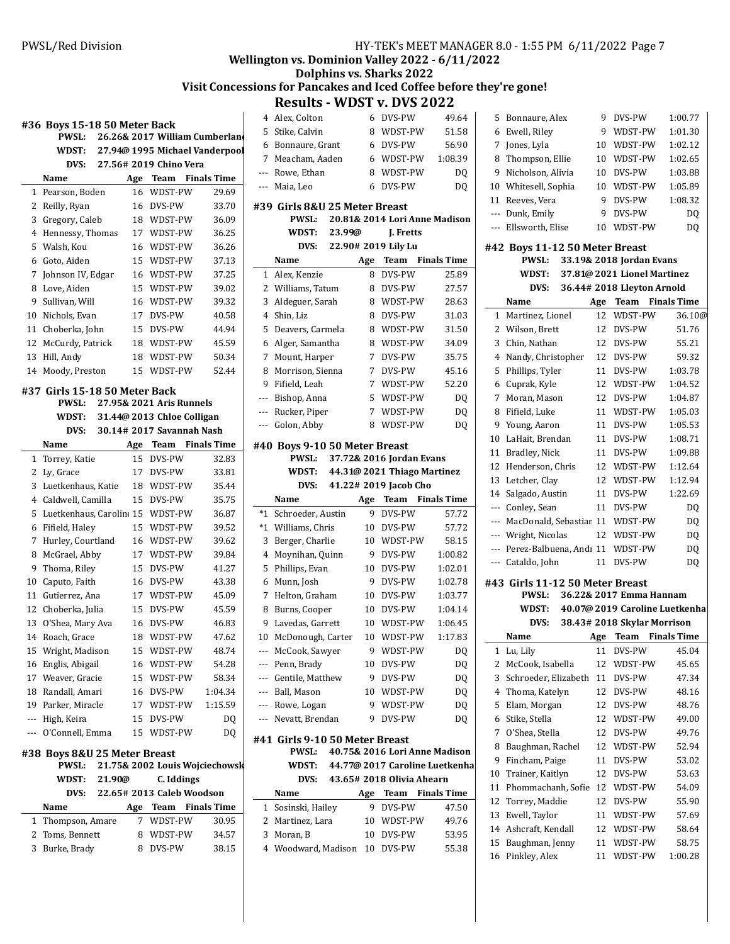# **Wellington vs. Dominion Valley 2022 - 6/11/2022**

# **Dolphins vs. Sharks 2022** Visit Concessions for Pancakes and Iced Coffee before they're gone!

# **Results - WDST v. DVS 2022**

|    |                                                                                |     |                                |                    | 4              |  |
|----|--------------------------------------------------------------------------------|-----|--------------------------------|--------------------|----------------|--|
|    | #36 Boys 15-18 50 Meter Back<br>26.26& 2017 William Cumberland<br><b>PWSL:</b> |     |                                |                    |                |  |
|    | WDST:                                                                          |     | 27.94@ 1995 Michael Vanderpool |                    | 6              |  |
|    | DVS:                                                                           |     | 27.56# 2019 Chino Vera         |                    | 7              |  |
|    | Name                                                                           | Age | <b>Team</b>                    | <b>Finals Time</b> |                |  |
| 1  | Pearson, Boden                                                                 | 16  | WDST-PW                        | 29.69              |                |  |
| 2  | Reilly, Ryan                                                                   | 16  | DVS-PW                         | 33.70              | #39            |  |
| 3  | Gregory, Caleb                                                                 | 18  | WDST-PW                        | 36.09              |                |  |
| 4  | Hennessy, Thomas                                                               | 17  | WDST-PW                        | 36.25              |                |  |
| 5  | Walsh. Kou                                                                     | 16  | WDST-PW                        | 36.26              |                |  |
| 6  | Goto. Aiden                                                                    | 15  | WDST-PW                        | 37.13              |                |  |
| 7  | Johnson IV, Edgar                                                              | 16  | WDST-PW                        | 37.25              | 1              |  |
| 8  | Love, Aiden                                                                    | 15  | WDST-PW                        | 39.02              | 2              |  |
| 9  | Sullivan, Will                                                                 | 16  | WDST-PW                        | 39.32              | 3              |  |
| 10 | Nichols, Evan                                                                  | 17  | DVS-PW                         | 40.58              | 4              |  |
| 11 | Choberka, John                                                                 | 15  | DVS-PW                         | 44.94              | 5              |  |
| 12 | McCurdy, Patrick                                                               | 18  | WDST-PW                        | 45.59              | 6              |  |
| 13 | Hill, Andy                                                                     | 18  | WDST-PW                        | 50.34              | 7              |  |
| 14 | Moody, Preston                                                                 | 15  | WDST-PW                        | 52.44              | 8              |  |
|    |                                                                                |     |                                |                    | 9              |  |
|    | #37 Girls 15-18 50 Meter Back                                                  |     |                                |                    |                |  |
|    | <b>PWSL:</b>                                                                   |     | 27.95& 2021 Aris Runnels       |                    | ---            |  |
|    | WDST:                                                                          |     | 31.44@ 2013 Chloe Colligan     |                    | ---            |  |
|    | DVS:                                                                           |     | 30.14# 2017 Savannah Nash      |                    |                |  |
|    | Name                                                                           | Age | Team                           | <b>Finals Time</b> | #40            |  |
| 1  | Torrey, Katie                                                                  | 15  | DVS-PW                         | 32.83              |                |  |
| 2  | Ly, Grace                                                                      | 17  | DVS-PW                         | 33.81              |                |  |
| 3  | Luetkenhaus, Katie                                                             | 18  | WDST-PW                        | 35.44              |                |  |
| 4  | Caldwell, Camilla                                                              | 15  | DVS-PW                         | 35.75              |                |  |
| 5  | Luetkenhaus, Caroline 15                                                       |     | WDST-PW                        | 36.87              | $^*1$          |  |
| 6  | Fifield, Haley                                                                 | 15  | WDST-PW                        | 39.52              | *1             |  |
| 7  | Hurley, Courtland                                                              | 16  | WDST-PW                        | 39.62              | 3              |  |
| 8  | McGrael, Abby                                                                  | 17  | WDST-PW                        | 39.84              | $\overline{4}$ |  |
| 9  | Thoma, Riley                                                                   | 15  | DVS-PW                         | 41.27              | 5              |  |
| 10 | Caputo, Faith                                                                  | 16  | DVS-PW                         | 43.38              | 6              |  |
| 11 | Gutierrez, Ana                                                                 | 17  | WDST-PW                        | 45.09              | 7              |  |
| 12 | Choberka, Julia                                                                | 15  | DVS-PW                         | 45.59              | 8              |  |
| 13 | O'Shea, Mary Ava                                                               | 16  | DVS-PW                         | 46.83              | 9              |  |
| 14 | Roach, Grace                                                                   | 18  | WDST-PW                        | 47.62              | 10             |  |
| 15 | Wright, Madison                                                                | 15  | WDST-PW                        | 48.74              | ---            |  |
| 16 | Englis, Abigail                                                                | 16  | WDST-PW                        | 54.28              |                |  |
|    | 17 Weaver, Gracie                                                              |     | 15 WDST-PW                     | 58.34              |                |  |
|    | 18 Randall, Amari                                                              | 16  | DVS-PW                         | 1:04.34            |                |  |
|    | 19 Parker, Miracle                                                             | 17  | WDST-PW                        | 1:15.59            |                |  |
|    | --- High, Keira                                                                | 15  | DVS-PW                         | DQ                 | ---            |  |
|    | --- O'Connell, Emma                                                            | 15  | WDST-PW                        | DQ                 | #41            |  |
|    | #38 Boys 8&U 25 Meter Breast                                                   |     |                                |                    |                |  |
|    | PWSL:                                                                          |     | 21.75& 2002 Louis Wojciechowsk |                    |                |  |
|    | WDST:<br>21.90@                                                                |     | C. Iddings                     |                    |                |  |
|    | DVS:                                                                           |     | 22.65# 2013 Caleb Woodson      |                    |                |  |
|    | Name                                                                           | Age | Team                           | <b>Finals Time</b> | 1              |  |
| 1  | Thompson, Amare                                                                | 7   | WDST-PW                        | 30.95              | 2              |  |
| 2  | Toms, Bennett                                                                  | 8   | WDST-PW                        | 34.57              | 3              |  |
| 3  | Burke, Brady                                                                   | 8   | DVS-PW                         | 38.15              | 4              |  |
|    |                                                                                |     |                                |                    |                |  |
|    |                                                                                |     |                                |                    |                |  |

|              | NESUILS - WIJJI V. IJVJ 4044   |                     |                                |                    |
|--------------|--------------------------------|---------------------|--------------------------------|--------------------|
|              | 4 Alex, Colton                 |                     | 6 DVS-PW                       | 49.64              |
| 5            | Stike, Calvin                  | 8                   | WDST-PW                        | 51.58              |
| 6            | Bonnaure, Grant                |                     | 6 DVS-PW                       | 56.90              |
|              | 7 Meacham, Aaden               |                     | 6 WDST-PW                      | 1:08.39            |
|              | --- Rowe, Ethan                | 8                   | WDST-PW                        | DQ                 |
|              | --- Maia, Leo                  | 6                   | DVS-PW                         | DO                 |
|              |                                |                     |                                |                    |
|              | #39 Girls 8&U 25 Meter Breast  |                     |                                |                    |
|              | PWSL:                          |                     | 20.81& 2014 Lori Anne Madison  |                    |
|              | WDST:                          | 23.99@              | J. Fretts                      |                    |
|              | DVS:                           | 22.90# 2019 Lily Lu |                                |                    |
|              | Name                           | Age                 | Team                           | <b>Finals Time</b> |
| $\mathbf{1}$ | Alex, Kenzie                   | 8                   | DVS-PW                         | 25.89              |
|              | 2 Williams, Tatum              | 8                   | DVS-PW                         | 27.57              |
| 3            | Aldeguer, Sarah                | 8                   | WDST-PW                        | 28.63              |
| 4            | Shin, Liz                      | 8                   | DVS-PW                         | 31.03              |
| 5            | Deavers, Carmela               | 8                   | WDST-PW                        | 31.50              |
| 6            | Alger, Samantha                | 8                   | WDST-PW                        | 34.09              |
| 7            | Mount, Harper                  | $7^{\circ}$         | DVS-PW                         | 35.75              |
| 8            | Morrison, Sienna               |                     | 7 DVS-PW                       | 45.16              |
|              | 9 Fifield, Leah                |                     | 7 WDST-PW                      | 52.20              |
|              | --- Bishop, Anna               | 5                   | WDST-PW                        | DQ                 |
|              | --- Rucker, Piper              | $\overline{7}$      | WDST-PW                        | DQ                 |
|              | --- Golon, Abby                | 8                   | WDST-PW                        | DQ                 |
|              |                                |                     |                                |                    |
|              | #40 Boys 9-10 50 Meter Breast  |                     |                                |                    |
|              | PWSL:                          |                     | 37.72& 2016 Jordan Evans       |                    |
|              | WDST:                          |                     | 44.31@ 2021 Thiago Martinez    |                    |
|              |                                |                     | DVS: 41.22# 2019 Jacob Cho     |                    |
|              | Name                           | Age                 | Team                           | <b>Finals Time</b> |
| *1           | Schroeder, Austin              | 9                   | DVS-PW                         | 57.72              |
| $*_{1}$      |                                |                     |                                |                    |
|              | Williams, Chris                | 10                  | DVS-PW                         | 57.72              |
| 3            | Berger, Charlie                | 10                  | WDST-PW                        | 58.15              |
| 4            | Moynihan, Quinn                | 9                   | DVS-PW                         | 1:00.82            |
| 5            | Phillips, Evan                 | 10                  | DVS-PW                         | 1:02.01            |
| 6            | Munn, Josh                     | 9                   | DVS-PW                         | 1:02.78            |
| 7            | Helton, Graham                 | 10                  | DVS-PW                         | 1:03.77            |
| 8            | Burns, Cooper                  |                     | 10 DVS-PW                      | 1:04.14            |
| 9            | Lavedas, Garrett               | 10                  | WDST-PW                        | 1:06.45            |
|              | 10 McDonough, Carter           |                     | 10 WDST-PW                     | 1:17.83            |
|              | --- McCook, Sawyer             | 9                   | WDST-PW                        | DQ                 |
|              | --- Penn, Brady                | 10                  | DVS-PW                         | DQ                 |
|              | --- Gentile, Matthew           | 9                   | DVS-PW                         | DQ                 |
|              | --- Ball, Mason                | 10                  | WDST-PW                        | DQ                 |
|              | --- Rowe, Logan                | 9                   | WDST-PW                        | DQ                 |
|              | --- Nevatt, Brendan            | 9                   | DVS-PW                         | DQ                 |
|              |                                |                     |                                |                    |
|              | #41 Girls 9-10 50 Meter Breast |                     |                                |                    |
|              | PWSL:                          |                     | 40.75& 2016 Lori Anne Madison  |                    |
|              | WDST:                          |                     | 44.77@ 2017 Caroline Luetkenha |                    |
|              |                                |                     | DVS: 43.65# 2018 Olivia Ahearn |                    |
|              | Name                           |                     | Age Team Finals Time           |                    |
| 1            | Sosinski, Hailey               | 9                   | DVS-PW                         | 47.50              |
|              | 2 Martinez, Lara               | 10                  | WDST-PW                        | 49.76              |
| 3            | Moran, B                       | 10                  | DVS-PW                         | 53.95              |
|              | 4 Woodward, Madison            | 10                  | DVS-PW                         | 55.38              |

| 5   | Bonnaure, Alex                                                     | 9  | DVS-PW                         | 1:00.77 |  |  |
|-----|--------------------------------------------------------------------|----|--------------------------------|---------|--|--|
|     |                                                                    |    |                                |         |  |  |
| 6   | Ewell, Riley                                                       | 9  | WDST-PW                        | 1:01.30 |  |  |
| 7   | Jones, Lyla                                                        | 10 | WDST-PW                        | 1:02.12 |  |  |
| 8   | Thompson, Ellie                                                    | 10 | WDST-PW                        | 1:02.65 |  |  |
| 9   | Nicholson, Alivia                                                  |    | 10 DVS-PW                      | 1:03.88 |  |  |
| 10  | Whitesell, Sophia                                                  | 10 | WDST-PW                        | 1:05.89 |  |  |
| 11  | Reeves, Vera                                                       | 9  | DVS-PW                         | 1:08.32 |  |  |
|     | --- Dunk, Emily                                                    | 9  | DVS-PW                         | DQ      |  |  |
| --- | Ellsworth, Elise                                                   | 10 | WDST-PW                        | DQ      |  |  |
|     | #42 Boys 11-12 50 Meter Breast<br>PWSL:                            |    | 33.19& 2018 Jordan Evans       |         |  |  |
|     |                                                                    |    |                                |         |  |  |
|     | 37.81@ 2021 Lionel Martinez<br>WDST:<br>36.44# 2018 Lleyton Arnold |    |                                |         |  |  |
|     | DVS:                                                               |    |                                |         |  |  |
|     | Name                                                               |    | Age Team Finals Time           |         |  |  |
| 1   | Martinez, Lionel                                                   | 12 | WDST-PW                        | 36.10@  |  |  |
| 2   | Wilson, Brett                                                      | 12 | DVS-PW                         | 51.76   |  |  |
| 3   | Chin, Nathan                                                       | 12 | DVS-PW                         | 55.21   |  |  |
| 4   | Nandy, Christopher                                                 | 12 | DVS-PW                         | 59.32   |  |  |
| 5   | Phillips, Tyler                                                    | 11 | DVS-PW                         | 1:03.78 |  |  |
| 6   | Cuprak, Kyle                                                       | 12 | WDST-PW                        | 1:04.52 |  |  |
| 7   | Moran, Mason                                                       |    | 12 DVS-PW                      | 1:04.87 |  |  |
| 8   | Fifield, Luke                                                      | 11 | WDST-PW                        | 1:05.03 |  |  |
| 9   | Young, Aaron                                                       | 11 | DVS-PW                         | 1:05.53 |  |  |
| 10  | LaHait, Brendan                                                    | 11 | DVS-PW                         | 1:08.71 |  |  |
| 11  | Bradley, Nick                                                      |    | 11 DVS-PW                      | 1:09.88 |  |  |
| 12  | Henderson, Chris                                                   | 12 | WDST-PW                        | 1:12.64 |  |  |
| 13  | Letcher, Clay                                                      | 12 | WDST-PW                        | 1:12.94 |  |  |
| 14  | Salgado, Austin                                                    | 11 | DVS-PW                         | 1:22.69 |  |  |
|     | --- Conley, Sean                                                   |    | 11 DVS-PW                      | DQ      |  |  |
|     | --- MacDonald, Sebastiar 11                                        |    | WDST-PW                        | DQ      |  |  |
|     | --- Wright, Nicolas                                                |    | 12 WDST-PW                     | DQ      |  |  |
|     | --- Perez-Balbuena, Andı 11                                        |    | WDST-PW                        | DQ      |  |  |
|     | --- Cataldo, John                                                  | 11 | DVS-PW                         | DQ      |  |  |
|     |                                                                    |    |                                |         |  |  |
|     | #43 Girls 11-12 50 Meter Breast                                    |    |                                |         |  |  |
|     | PWSL:                                                              |    | 36.22& 2017 Emma Hannam        |         |  |  |
|     | WDST:                                                              |    | 40.07@ 2019 Caroline Luetkenha |         |  |  |
|     | DVS:                                                               |    | 38.43# 2018 Skylar Morrison    |         |  |  |
|     | Name                                                               |    | Age Team Finals Time           |         |  |  |
| 1   | Lu, Lily                                                           | 11 | DVS-PW                         | 45.04   |  |  |
| 2   | McCook, Isabella                                                   | 12 | WDST-PW                        | 45.65   |  |  |
| 3   | Schroeder, Elizabeth                                               | 11 | DVS-PW                         | 47.34   |  |  |
| 4   | Thoma, Katelyn                                                     | 12 | DVS-PW                         | 48.16   |  |  |
| 5   | Elam, Morgan                                                       | 12 | DVS-PW                         | 48.76   |  |  |
| 6   | Stike, Stella                                                      | 12 | WDST-PW                        | 49.00   |  |  |
| 7   | O'Shea, Stella                                                     | 12 | DVS-PW                         | 49.76   |  |  |
| 8   | Baughman, Rachel                                                   | 12 | WDST-PW                        | 52.94   |  |  |
| 9   | Fincham, Paige                                                     | 11 | DVS-PW                         | 53.02   |  |  |
| 10  | Trainer, Kaitlyn                                                   | 12 | DVS-PW                         | 53.63   |  |  |
| 11  | Phommachanh, Sofie                                                 | 12 | WDST-PW                        | 54.09   |  |  |
| 12  | Torrey, Maddie                                                     | 12 | DVS-PW                         | 55.90   |  |  |
| 13  | Ewell, Taylor                                                      | 11 | WDST-PW                        | 57.69   |  |  |
| 14  | Ashcraft, Kendall                                                  | 12 | WDST-PW                        | 58.64   |  |  |
| 15  | Baughman, Jenny                                                    | 11 | WDST-PW                        | 58.75   |  |  |
| 16  | Pinkley, Alex                                                      | 11 | WDST-PW                        | 1:00.28 |  |  |
|     |                                                                    |    |                                |         |  |  |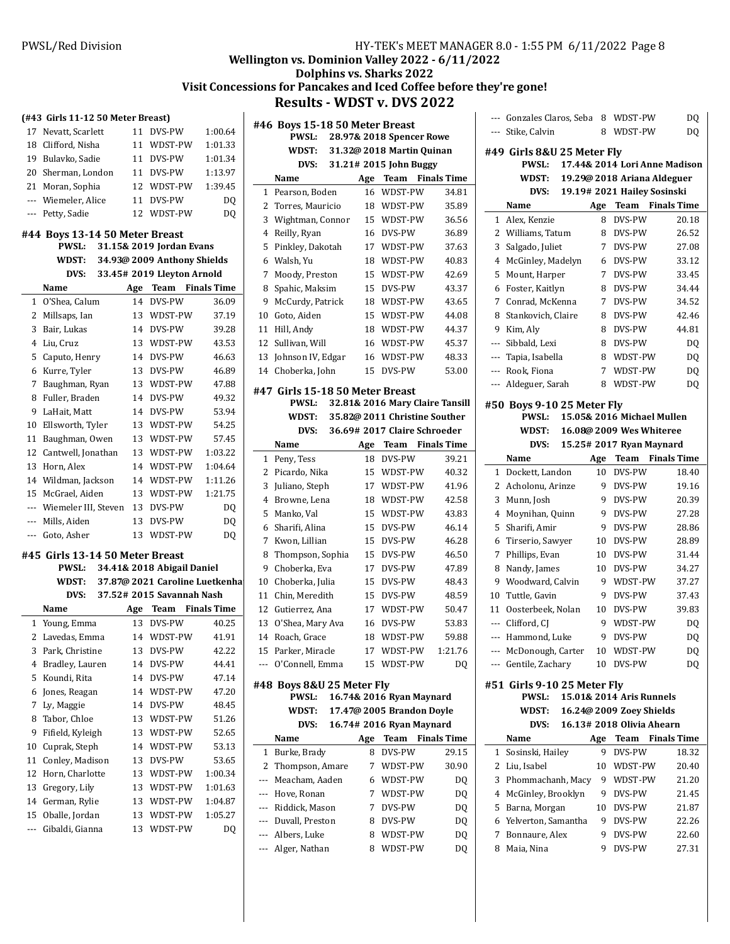# **Wellington vs. Dominion Valley 2022 - 6/11/2022**

## **Dolphins vs. Sharks 2022** Visit Concessions for Pancakes and Iced Coffee before they're gone! **Results - WDST v. DVS 2022**

### **(#43 Girls 11-12 50 Meter Breast)**

|                                                                         | $1013$ and $1112$ $120$ ricter breaser |  |            |                |  |
|-------------------------------------------------------------------------|----------------------------------------|--|------------|----------------|--|
|                                                                         | 17 Nevatt, Scarlett                    |  | 11 DVS-PW  | 1:00.64        |  |
|                                                                         | 18 Clifford, Nisha                     |  | 11 WDST-PW | 1:01.33        |  |
|                                                                         | 19 Bulavko, Sadie                      |  | 11 DVS-PW  | 1:01.34        |  |
|                                                                         | 20 Sherman, London                     |  | 11 DVS-PW  | 1:13.97        |  |
|                                                                         | 21 Moran, Sophia                       |  | 12 WDST-PW | 1:39.45        |  |
|                                                                         | --- Wiemeler, Alice                    |  | 11 DVS-PW  | DQ             |  |
|                                                                         | --- Petty, Sadie                       |  | 12 WDST-PW | D <sub>O</sub> |  |
| #44 Boys 13-14 50 Meter Breast<br><b>PWSL:</b> 31.15& 2019 Jordan Evans |                                        |  |            |                |  |

|              |                      |                             | $5 + 10$ at $2 + 7$ for again by all $5$ |                    |  |
|--------------|----------------------|-----------------------------|------------------------------------------|--------------------|--|
|              | WDST:                | 34.93@ 2009 Anthony Shields |                                          |                    |  |
|              | DVS:                 |                             | 33.45# 2019 Lleyton Arnold               |                    |  |
|              | Name                 | Age                         | Team                                     | <b>Finals Time</b> |  |
| $\mathbf{1}$ | O'Shea, Calum        | 14                          | DVS-PW                                   | 36.09              |  |
| 2            | Millsaps, Ian        | 13                          | WDST-PW                                  | 37.19              |  |
| 3            | Bair, Lukas          | 14                          | DVS-PW                                   | 39.28              |  |
| 4            | Liu, Cruz            | 13                          | WDST-PW                                  | 43.53              |  |
| 5            | Caputo, Henry        | 14                          | DVS-PW                                   | 46.63              |  |
| 6            | Kurre, Tyler         | 13                          | DVS-PW                                   | 46.89              |  |
| 7            | Baughman, Ryan       | 13                          | WDST-PW                                  | 47.88              |  |
| 8            | Fuller, Braden       | 14                          | DVS-PW                                   | 49.32              |  |
| 9            | LaHait, Matt         | 14                          | DVS-PW                                   | 53.94              |  |
| 10           | Ellsworth, Tyler     | 13                          | WDST-PW                                  | 54.25              |  |
| 11           | Baughman, Owen       | 13                          | WDST-PW                                  | 57.45              |  |
| 12           | Cantwell, Jonathan   | 13                          | WDST-PW                                  | 1:03.22            |  |
| 13           | Horn, Alex           | 14                          | WDST-PW                                  | 1:04.64            |  |
| 14           | Wildman, Jackson     | 14                          | WDST-PW                                  | 1:11.26            |  |
| 15           | McGrael, Aiden       | 13                          | WDST-PW                                  | 1:21.75            |  |
| $---$        | Wiemeler III, Steven | 13                          | DVS-PW                                   | DQ                 |  |
| $---$        | Mills, Aiden         | 13                          | DVS-PW                                   | DQ                 |  |
| ---          | Goto, Asher          | 13                          | WDST-PW                                  | DO                 |  |

### **#45 Girls 13-14 50 Meter Breast**

|                | 34.41& 2018 Abigail Daniel<br>PWSL: |                                 |                           |                    |  |  |
|----------------|-------------------------------------|---------------------------------|---------------------------|--------------------|--|--|
|                | WDST:                               | 37.87@ 2021 Caroline Luetkenhal |                           |                    |  |  |
|                | DVS:                                |                                 | 37.52# 2015 Savannah Nash |                    |  |  |
|                | Name                                | Age                             | Team                      | <b>Finals Time</b> |  |  |
| 1              | Young, Emma                         | 13                              | DVS-PW                    | 40.25              |  |  |
| 2              | Lavedas, Emma                       | 14                              | WDST-PW                   | 41.91              |  |  |
| 3              | Park, Christine                     | 13                              | DVS-PW                    | 42.22              |  |  |
| $\overline{4}$ | Bradley, Lauren                     | 14                              | DVS-PW                    | 44.41              |  |  |
| 5              | Koundi, Rita                        | 14                              | DVS-PW                    | 47.14              |  |  |
| 6              | Jones, Reagan                       | 14                              | WDST-PW                   | 47.20              |  |  |
| 7              | Ly, Maggie                          | 14                              | DVS-PW                    | 48.45              |  |  |
| 8              | Tabor, Chloe                        | 13                              | WDST-PW                   | 51.26              |  |  |
| 9              | Fifield, Kyleigh                    | 13                              | WDST-PW                   | 52.65              |  |  |
| 10             | Cuprak, Steph                       | 14                              | WDST-PW                   | 53.13              |  |  |
| 11             | Conley, Madison                     | 13                              | DVS-PW                    | 53.65              |  |  |
| 12             | Horn, Charlotte                     | 13                              | WDST-PW                   | 1:00.34            |  |  |
| 13             | Gregory, Lily                       | 13                              | WDST-PW                   | 1:01.63            |  |  |
| 14             | German, Rylie                       | 13                              | WDST-PW                   | 1:04.87            |  |  |
| 15             | Oballe, Jordan                      | 13                              | WDST-PW                   | 1:05.27            |  |  |
| ---            | Gibaldi, Gianna                     | 13                              | WDST-PW                   | DQ                 |  |  |
|                |                                     |                                 |                           |                    |  |  |

|     | #46 Boys 15-18 50 Meter Breast  |     |                                 |                    |
|-----|---------------------------------|-----|---------------------------------|--------------------|
|     | PWSL:                           |     | 28.97& 2018 Spencer Rowe        |                    |
|     | <b>WDST:</b>                    |     | 31.32@ 2018 Martin Quinan       |                    |
|     | DVS:                            |     | 31.21# 2015 John Buggy          |                    |
|     | Name                            | Age | Team                            | <b>Finals Time</b> |
| 1   | Pearson, Boden                  | 16  | WDST-PW                         | 34.81              |
| 2   | Torres, Mauricio                | 18  | WDST-PW                         | 35.89              |
| 3   | Wightman, Connor                | 15  | WDST-PW                         | 36.56              |
| 4   | Reilly, Ryan                    | 16  | DVS-PW                          | 36.89              |
| 5   | Pinkley, Dakotah                | 17  | WDST-PW                         | 37.63              |
| 6   | Walsh. Yu                       | 18  | WDST-PW                         | 40.83              |
| 7   | Moody, Preston                  | 15  | WDST-PW                         | 42.69              |
| 8   | Spahic, Maksim                  | 15  | DVS-PW                          | 43.37              |
| 9   | McCurdy, Patrick                | 18  | WDST-PW                         | 43.65              |
| 10  | Goto, Aiden                     | 15  | WDST-PW                         | 44.08              |
| 11  | Hill, Andy                      | 18  | WDST-PW                         | 44.37              |
| 12  | Sullivan, Will                  | 16  | WDST-PW                         | 45.37              |
| 13  | Johnson IV, Edgar               | 16  | WDST-PW                         | 48.33              |
| 14  | Choberka, John                  | 15  | DVS-PW                          | 53.00              |
|     | #47 Girls 15-18 50 Meter Breast |     |                                 |                    |
|     | <b>PWSL:</b>                    |     | 32.81& 2016 Mary Claire Tansill |                    |
|     | WDST:                           |     | 35.82@ 2011 Christine Souther   |                    |
|     | DVS:                            |     | 36.69# 2017 Claire Schroeder    |                    |
|     | Name                            | Age | Team                            | <b>Finals Time</b> |
| 1   | Peny, Tess                      | 18  | DVS-PW                          | 39.21              |
| 2   | Picardo, Nika                   | 15  | WDST-PW                         | 40.32              |
| 3   | Juliano, Steph                  | 17  | WDST-PW                         | 41.96              |
| 4   | Browne, Lena                    | 18  | WDST-PW                         | 42.58              |
| 5   | Manko, Val                      | 15  | WDST-PW                         | 43.83              |
| 6   | Sharifi, Alina                  | 15  | DVS-PW                          | 46.14              |
| 7   | Kwon, Lillian                   | 15  | DVS-PW                          | 46.28              |
| 8   | Thompson, Sophia                | 15  | DVS-PW                          | 46.50              |
| 9   | Choberka, Eva                   | 17  | DVS-PW                          | 47.89              |
| 10  | Choberka, Julia                 | 15  | DVS-PW                          | 48.43              |
| 11  | Chin, Meredith                  | 15  | DVS-PW                          | 48.59              |
| 12  | Gutierrez, Ana                  | 17  | WDST-PW                         | 50.47              |
| 13  | O'Shea, Mary Ava                | 16  | DVS-PW                          | 53.83              |
| 14  | Roach, Grace                    | 18  | WDST-PW                         | 59.88              |
| 15  | Parker, Miracle                 | 17  | WDST-PW                         | 1:21.76            |
|     | O'Connell, Emma                 | 15  | WDST-PW                         | DO                 |
|     | #48 Boys 8&U 25 Meter Fly       |     |                                 |                    |
|     | PWSL:                           |     | 16.74& 2016 Ryan Maynard        |                    |
|     | WDST:                           |     | 17.47@ 2005 Brandon Doyle       |                    |
|     | DVS:                            |     | 16.74# 2016 Ryan Maynard        |                    |
|     | Name                            | Age | <b>Team</b>                     | <b>Finals Time</b> |
| 1   | Burke, Brady                    | 8   | DVS-PW                          | 29.15              |
| 2   | Thompson, Amare                 | 7   | WDST-PW                         | 30.90              |
| --- | Meacham, Aaden                  | 6   | WDST-PW                         | DQ                 |
| --- | Hove, Ronan                     | 7   | WDST-PW                         | DQ                 |
| --- | Riddick, Mason                  | 7   | DVS-PW                          | DQ                 |
|     | --- Duvall, Preston             | 8   | DVS-PW                          | DQ                 |
| --- | Albers, Luke                    | 8   | WDST-PW                         | DQ                 |
| --- | Alger, Nathan                   | 8   | WDST-PW                         | DQ                 |
|     |                                 |     |                                 |                    |

| $\overline{a}$ | Gonzales Claros, Seba                       | 8              | WDST-PW                          | DQ                 |
|----------------|---------------------------------------------|----------------|----------------------------------|--------------------|
| $---$          | Stike, Calvin                               | 8              | WDST-PW                          | DQ                 |
|                | #49  Girls 8&U 25 Meter Fly<br><b>PWSL:</b> |                | 17.44& 2014 Lori Anne Madison    |                    |
|                | WDST:                                       |                | 19.29@ 2018 Ariana Aldeguer      |                    |
|                | DVS:                                        |                | 19.19# 2021 Hailey Sosinski      |                    |
|                | Name                                        | Age            | Team                             | <b>Finals Time</b> |
| 1              | Alex, Kenzie                                | 8              | DVS-PW                           | 20.18              |
| 2              | Williams, Tatum                             | 8              | DVS-PW                           | 26.52              |
| 3              | Salgado, Juliet                             | 7              | DVS-PW                           | 27.08              |
| $\overline{4}$ | McGinley, Madelyn                           | 6              | DVS-PW                           | 33.12              |
| 5              | Mount, Harper                               | $\overline{7}$ | DVS-PW                           | 33.45              |
| 6              | Foster, Kaitlyn                             | 8              | DVS-PW                           | 34.44              |
| 7              | Conrad, McKenna                             | 7              | DVS-PW                           | 34.52              |
| 8              | Stankovich, Claire                          | 8              | DVS-PW                           | 42.46              |
| 9              | Kim, Aly                                    | 8              | DVS-PW                           | 44.81              |
| ---            | Sibbald, Lexi                               | 8              | DVS-PW                           | DO                 |
| ---            | Tapia, Isabella                             | 8              | WDST-PW                          | DQ                 |
| ---            | Rook, Fiona                                 | 7              | WDST-PW                          | DQ                 |
| $\overline{a}$ | Aldeguer, Sarah                             | 8              | WDST-PW                          | DQ                 |
|                |                                             |                |                                  |                    |
|                | #50 Boys 9-10 25 Meter Fly<br><b>PWSL:</b>  |                | 15.05& 2016 Michael Mullen       |                    |
|                | WDST:                                       |                | 16.08@ 2009 Wes Whiteree         |                    |
|                | DVS:                                        |                |                                  |                    |
|                | Name                                        | Age            | 15.25# 2017 Ryan Maynard<br>Team | <b>Finals Time</b> |
| $\mathbf{1}$   | Dockett, Landon                             | 10             | DVS-PW                           | 18.40              |
| 2              | Acholonu, Arinze                            | 9              | DVS-PW                           | 19.16              |
| 3              | Munn, Josh                                  | 9              | DVS-PW                           | 20.39              |
| 4              | Moynihan, Quinn                             | 9              | DVS-PW                           | 27.28              |
| 5              | Sharifi, Amir                               | 9              | DVS-PW                           | 28.86              |
| 6              | Tirserio, Sawyer                            | 10             | DVS-PW                           | 28.89              |
| 7              | Phillips, Evan                              | 10             | DVS-PW                           | 31.44              |
| 8              | Nandy, James                                | 10             | DVS-PW                           | 34.27              |
| 9              | Woodward, Calvin                            | 9              | WDST-PW                          | 37.27              |
| 10             | Tuttle, Gavin                               | 9              | DVS-PW                           | 37.43              |
| 11             | Oosterbeek, Nolan                           | 10             | DVS-PW                           | 39.83              |
| ---            | Clifford, CJ                                | 9              | WDST-PW                          | DQ                 |
| $\overline{a}$ | Hammond, Luke                               | 9              | DVS-PW                           | DQ                 |
| ---            | McDonough, Carter                           | 10             | WDST-PW                          | DQ                 |
| $---$          | Gentile, Zachary                            | 10             | DVS-PW                           | DQ                 |
|                |                                             |                |                                  |                    |
|                | #51 Girls 9-10 25 Meter Fly<br><b>PWSL:</b> |                | 15.01& 2014 Aris Runnels         |                    |
|                | WDST:                                       |                | 16.24@ 2009 Zoey Shields         |                    |
|                | DVS:                                        |                | 16.13# 2018 Olivia Ahearn        |                    |
|                | Name                                        | Age            | Team                             | <b>Finals Time</b> |
| 1              | Sosinski, Hailey                            | 9              | DVS-PW                           | 18.32              |
| 2              | Liu, Isabel                                 | 10             | WDST-PW                          | 20.40              |
| 3              | Phommachanh, Macy                           | 9              | WDST-PW                          | 21.20              |
| 4              | McGinley, Brooklyn                          | 9.             | DVS-PW                           | 21.45              |
| 5              | Barna, Morgan                               | 10             | DVS-PW                           | 21.87              |
| 6              | Yelverton, Samantha                         | 9              | DVS-PW                           | 22.26              |
| 7              | Bonnaure, Alex                              | 9              | DVS-PW                           | 22.60              |
|                |                                             |                |                                  |                    |

8 Maia, Nina 9 DVS-PW 27.31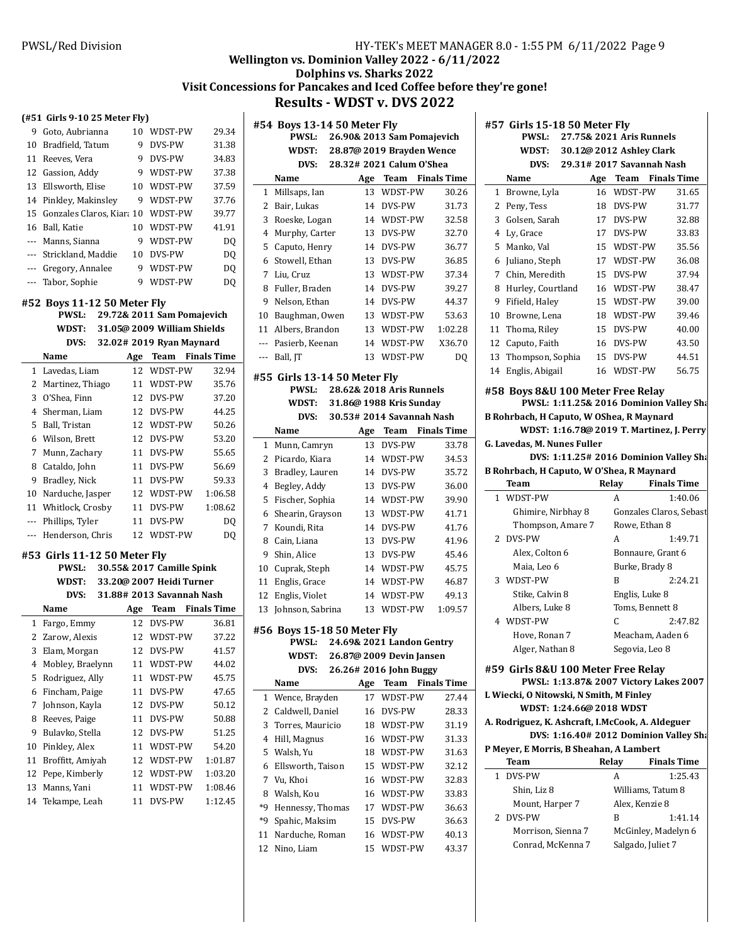**#57 Girls 15-18 50 Meter Fly**

**PWSL: 27.75& 2021 Aris Runnels WDST: 30.12 2012 @ Ashley Clark**

# **Wellington vs. Dominion Valley 2022 - 6/11/2022**

**Dolphins vs. Sharks 2022** Visit Concessions for Pancakes and Iced Coffee before they're gone!

**Results - WDST v. DVS 2022** 

### **(#51 Girls 9-10 25 Meter Fly)**

|                                                                                                                                                                                                                                               | WDST-PW | 29.34                                                                                                                                                                          |
|-----------------------------------------------------------------------------------------------------------------------------------------------------------------------------------------------------------------------------------------------|---------|--------------------------------------------------------------------------------------------------------------------------------------------------------------------------------|
|                                                                                                                                                                                                                                               | DVS-PW  | 31.38                                                                                                                                                                          |
| 9                                                                                                                                                                                                                                             | DVS-PW  | 34.83                                                                                                                                                                          |
| 9                                                                                                                                                                                                                                             | WDST-PW | 37.38                                                                                                                                                                          |
|                                                                                                                                                                                                                                               |         | 37.59                                                                                                                                                                          |
|                                                                                                                                                                                                                                               |         | 37.76                                                                                                                                                                          |
|                                                                                                                                                                                                                                               |         | 39.77                                                                                                                                                                          |
|                                                                                                                                                                                                                                               | WDST-PW | 41.91                                                                                                                                                                          |
|                                                                                                                                                                                                                                               |         | DQ                                                                                                                                                                             |
| 10                                                                                                                                                                                                                                            | DVS-PW  | DQ                                                                                                                                                                             |
|                                                                                                                                                                                                                                               |         | DQ                                                                                                                                                                             |
| 9                                                                                                                                                                                                                                             | WDST-PW | DQ                                                                                                                                                                             |
|                                                                                                                                                                                                                                               |         |                                                                                                                                                                                |
| 9 Goto, Aubrianna<br>10 Bradfield, Tatum<br>11 Reeves, Vera<br>12 Gassion, Addy<br>13 Ellsworth, Elise<br>14 Pinkley, Makinsley<br>16 Ball, Katie<br>--- Manns, Sianna<br>--- Strickland, Maddie<br>--- Gregory, Annalee<br>--- Tabor, Sophie |         | 10<br>9.<br>10 WDST-PW<br>9 WDST-PW<br>15 Gonzales Claros, Kiara 10 WDST-PW<br>10<br>9 WDST-PW<br>9 WDST-PW<br>#52 Boys 11-12 50 Meter Fly<br>PWSL: 29.72& 2011 Sam Pomajevich |

| WDST: | 31.05@ 2009 William Shields |
|-------|-----------------------------|
| DVS:  | 32.02# 2019 Ryan Maynard    |

|    | Name               | Age | Team          | <b>Finals Time</b> |
|----|--------------------|-----|---------------|--------------------|
|    | 1 Lavedas, Liam    | 12  | WDST-PW       | 32.94              |
|    | 2 Martinez, Thiago | 11  | WDST-PW       | 35.76              |
| 3  | O'Shea, Finn       | 12  | <b>DVS-PW</b> | 37.20              |
|    | 4 Sherman, Liam    | 12  | DVS-PW        | 44.25              |
| 5. | Ball, Tristan      | 12  | WDST-PW       | 50.26              |
|    | 6 Wilson, Brett    | 12  | <b>DVS-PW</b> | 53.20              |
|    | 7 Munn, Zachary    | 11  | <b>DVS-PW</b> | 55.65              |
| 8  | Cataldo, John      | 11  | <b>DVS-PW</b> | 56.69              |
| 9  | Bradley, Nick      | 11  | <b>DVS-PW</b> | 59.33              |
| 10 | Narduche, Jasper   | 12. | WDST-PW       | 1:06.58            |
| 11 | Whitlock, Crosby   | 11  | <b>DVS-PW</b> | 1:08.62            |
|    | Phillips, Tyler    | 11  | <b>DVS-PW</b> | DO                 |
|    | Henderson, Chris   | 12. | WDST-PW       | DO                 |
|    |                    |     |               |                    |

#### **#53 Girls 11-12 50 Meter Fly**

| PWSL: | 30.55& 2017 Camille Spink        |
|-------|----------------------------------|
| WDST: | 33.20@ 2007 Heidi Turner         |
|       | $DVS: 31.88# 2013$ Savannah Nash |

|    | Name             | Age | Team          | <b>Finals Time</b> |
|----|------------------|-----|---------------|--------------------|
| 1  | Fargo, Emmy      | 12  | <b>DVS-PW</b> | 36.81              |
|    | 2 Zarow, Alexis  | 12  | WDST-PW       | 37.22              |
| 3  | Elam, Morgan     | 12  | <b>DVS-PW</b> | 41.57              |
| 4  | Mobley, Braelynn | 11  | WDST-PW       | 44.02              |
| 5  | Rodriguez, Ally  | 11  | WDST-PW       | 45.75              |
| 6  | Fincham, Paige   | 11  | DVS-PW        | 47.65              |
| 7  | Johnson, Kayla   | 12  | <b>DVS-PW</b> | 50.12              |
| 8  | Reeves, Paige    | 11  | <b>DVS-PW</b> | 50.88              |
| 9  | Bulavko, Stella  | 12  | DVS-PW        | 51.25              |
| 10 | Pinkley, Alex    | 11  | WDST-PW       | 54.20              |
| 11 | Broffitt, Amiyah | 12  | WDST-PW       | 1:01.87            |
| 12 | Pepe, Kimberly   | 12  | WDST-PW       | 1:03.20            |
| 13 | Manns, Yani      | 11  | WDST-PW       | 1:08.46            |
| 14 | Tekampe, Leah    | 11  | <b>DVS-PW</b> | 1:12.45            |

|                | #54 Boys 13-14 50 Meter Fly         |     |                                 |                    |
|----------------|-------------------------------------|-----|---------------------------------|--------------------|
|                | 26.90& 2013 Sam Pomajevich<br>PWSL: |     |                                 |                    |
|                | WDST:                               |     | 28.87@ 2019 Brayden Wence       |                    |
|                | DVS:                                |     | 28.32# 2021 Calum O'Shea        |                    |
|                | Name                                |     | Age Team Finals Time            |                    |
| 1              | Millsaps, Ian                       | 13  | WDST-PW                         | 30.26              |
| 2              | Bair, Lukas                         | 14  | DVS-PW                          | 31.73              |
| 3              | Roeske, Logan                       | 14  | WDST-PW                         | 32.58              |
| 4              | Murphy, Carter                      | 13  | DVS-PW                          | 32.70              |
| 5              | Caputo, Henry                       | 14  | DVS-PW                          | 36.77              |
| 6              | Stowell, Ethan                      | 13  | DVS-PW                          | 36.85              |
| 7              | Liu, Cruz                           | 13  | WDST-PW                         | 37.34              |
| 8              | Fuller, Braden                      | 14  | DVS-PW                          | 39.27              |
| 9              | Nelson, Ethan                       | 14  | DVS-PW                          | 44.37              |
| 10             | Baughman, Owen                      | 13  | WDST-PW                         | 53.63              |
| 11             | Albers, Brandon                     | 13  | WDST-PW                         | 1:02.28            |
| ---            | Pasierb, Keenan                     | 14  | WDST-PW                         | X36.70             |
| $\overline{a}$ | Ball, JT                            | 13  | WDST-PW                         | DQ                 |
|                | #55 Girls 13-14 50 Meter Fly        |     |                                 |                    |
|                | PWSL:                               |     | 28.62& 2018 Aris Runnels        |                    |
|                | WDST:                               |     | 31.86@ 1988 Kris Sunday         |                    |
|                | DVS:                                |     | 30.53# 2014 Savannah Nash       |                    |
|                | Name                                | Age | Team                            | <b>Finals Time</b> |
| 1              | Munn, Camryn                        | 13  | DVS-PW                          | 33.78              |
|                |                                     |     |                                 |                    |
| 2              | Picardo, Kiara                      | 14  | WDST-PW                         | 34.53              |
| 3              | Bradley, Lauren                     | 14  | DVS-PW                          | 35.72              |
| 4              | Begley, Addy                        | 13  | DVS-PW                          | 36.00              |
| 5              | Fischer, Sophia                     | 14  | WDST-PW                         | 39.90              |
| 6              | Shearin, Grayson                    | 13  | WDST-PW                         | 41.71              |
| 7              | Koundi, Rita                        | 14  | DVS-PW                          | 41.76              |
| 8              | Cain, Liana                         | 13  | DVS-PW                          | 41.96              |
| 9              | Shin, Alice                         | 13  | DVS-PW                          | 45.46              |
| 10             | Cuprak, Steph                       | 14  | WDST-PW                         | 45.75              |
| 11             | Englis, Grace                       | 14  | WDST-PW                         | 46.87              |
| 12             | Englis, Violet                      | 14  | WDST-PW                         | 49.13              |
| 13             | Johnson, Sabrina                    | 13  | WDST-PW                         | 1:09.57            |
|                | #56 Boys 15-18 50 Meter Fly         |     |                                 |                    |
|                |                                     |     | PWSL: 24.69& 2021 Landon Gentry |                    |
|                | WDST:                               |     | 26.87@ 2009 Devin Jansen        |                    |
|                | DVS:                                |     | 26.26# 2016 John Buggy          |                    |
|                | Name                                | Age | <b>Team</b>                     | <b>Finals Time</b> |
| 1              | Wence, Brayden                      | 17  | WDST-PW                         | 27.44              |
| $\overline{2}$ | Caldwell, Daniel                    | 16  | DVS-PW                          | 28.33              |
| 3              | Torres, Mauricio                    | 18  | WDST-PW                         | 31.19              |
| 4              | Hill, Magnus                        | 16  | WDST-PW                         | 31.33              |

 Ellsworth, Taison 15 WDST-PW 32.12 Vu, Khoi 16 WDST-PW 32.83 Walsh, Kou 16 WDST-PW 33.83 \*9 Hennessy, Thomas 17 WDST-PW 36.63 \*9 Spahic, Maksim 15 DVS-PW 36.63 Narduche, Roman 16 WDST-PW 40.13 Nino, Liam 15 WDST-PW 43.37

| DVS:                                                                     | 29.31# 2017 Savannah Nash |                         |
|--------------------------------------------------------------------------|---------------------------|-------------------------|
| Name                                                                     |                           | Age Team Finals Time    |
| 1 Browne, Lyla                                                           | 16 WDST-PW                | 31.65                   |
| 2 Peny, Tess                                                             | 18 DVS-PW                 | 31.77                   |
| 3 Golsen, Sarah                                                          | 17 DVS-PW                 | 32.88                   |
| 4 Ly, Grace                                                              | 17 DVS-PW                 | 33.83                   |
| 5 Manko, Val                                                             | 15 WDST-PW                | 35.56                   |
| 6 Juliano, Steph                                                         | 17 WDST-PW                | 36.08                   |
| 7 Chin, Meredith                                                         | 15 DVS-PW                 | 37.94                   |
| 8 Hurley, Courtland                                                      | 16 WDST-PW                | 38.47                   |
| 9 Fifield, Haley                                                         | 15 WDST-PW                | 39.00                   |
| 10 Browne, Lena                                                          | 18 WDST-PW                | 39.46                   |
| 11 Thoma, Riley                                                          | 15 DVS-PW                 | 40.00                   |
| 12 Caputo, Faith                                                         | 16 DVS-PW                 | 43.50                   |
| 13 Thompson, Sophia                                                      | 15 DVS-PW                 | 44.51                   |
| 14 Englis, Abigail                                                       | 16 WDST-PW                | 56.75                   |
| #58 Boys 8&U 100 Meter Free Relay                                        |                           |                         |
| PWSL: 1:11.25& 2016 Dominion Valley Sha                                  |                           |                         |
| B Rohrbach, H Caputo, W OShea, R Maynard                                 |                           |                         |
| WDST: 1:16.78@ 2019 T. Martinez, J. Perry<br>G. Lavedas, M. Nunes Fuller |                           |                         |
| DVS: 1:11.25# 2016 Dominion Valley Sha                                   |                           |                         |
| B Rohrbach, H Caputo, W O'Shea, R Maynard                                |                           |                         |
| Team                                                                     | Relay                     | <b>Finals Time</b>      |
| 1 WDST-PW                                                                | A                         | 1:40.06                 |
| Ghimire, Nirbhay 8                                                       |                           | Gonzales Claros, Sebast |
| Thompson, Amare 7                                                        | Rowe, Ethan 8             |                         |
| 2 DVS-PW                                                                 | A                         | 1:49.71                 |
| Alex, Colton 6                                                           | Bonnaure, Grant 6         |                         |
| Maia, Leo 6                                                              | Burke, Brady 8            |                         |
| 3 WDST-PW                                                                | B                         | 2:24.21                 |
| Stike, Calvin 8                                                          | Englis, Luke 8            |                         |
| Albers, Luke 8                                                           | Toms, Bennett 8           |                         |
| 4 WDST-PW                                                                | C                         | 2:47.82                 |
| Hove, Ronan 7                                                            | Meacham, Aaden 6          |                         |
| Alger, Nathan 8                                                          | Segovia, Leo 8            |                         |
| #59 Girls 8&U 100 Meter Free Relay                                       |                           |                         |
| PWSL: 1:13.87& 2007 Victory Lakes 2007                                   |                           |                         |
| L Wiecki, O Nitowski, N Smith, M Finley                                  |                           |                         |
| WDST: 1:24.66@ 2018 WDST                                                 |                           |                         |
| A. Rodriguez, K. Ashcraft, I.McCook, A. Aldeguer                         |                           |                         |
| DVS: 1:16.40# 2012 Dominion Valley Sha                                   |                           |                         |
| P Meyer, E Morris, B Sheahan, A Lambert<br>Team                          | Relay                     | <b>Finals Time</b>      |
| 1 DVS-PW                                                                 | A                         | 1:25.43                 |
| Shin, Liz 8                                                              | Williams, Tatum 8         |                         |
| Mount, Harper 7                                                          | Alex, Kenzie 8            |                         |
| DVS-PW<br>2                                                              | B                         | 1:41.14                 |
| Morrison, Sienna 7                                                       |                           | McGinley, Madelyn 6     |
| Conrad, McKenna 7                                                        | Salgado, Juliet 7         |                         |
|                                                                          |                           |                         |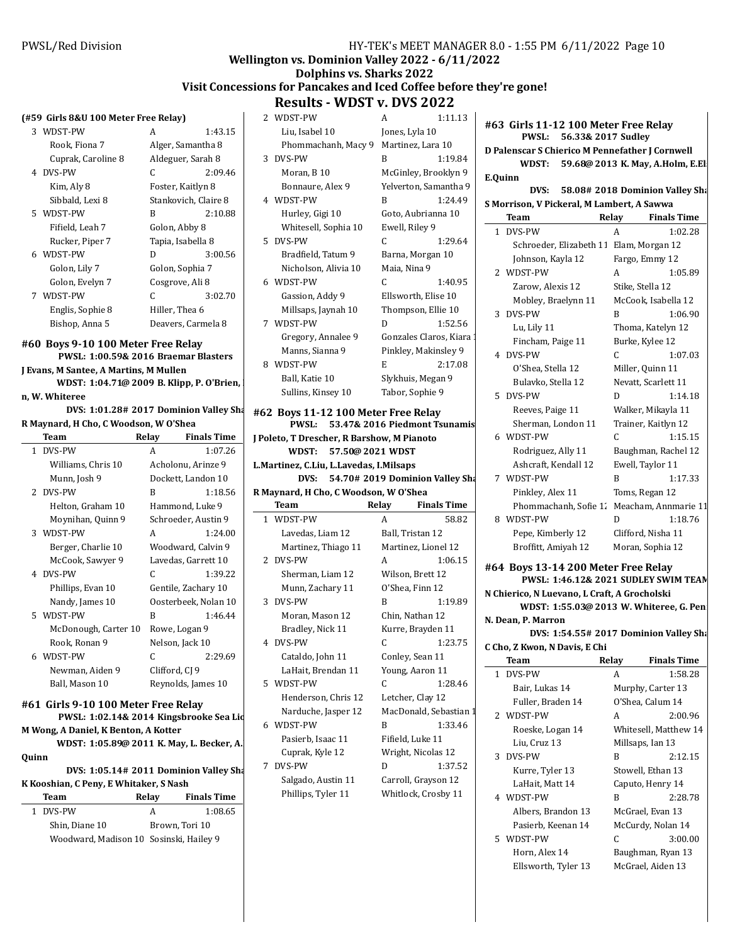### **Wellington vs. Dominion Valley 2022 - 6/11/2022**

# **Dolphins vs. Sharks 2022**

### **Visit Concessions for Pancakes and Iced Coffee before they're gone! Results - WDST v. DVS 2022**

#### **(#59 Girls 8&U 100 Meter Free Relay)**

| 3 WDST-PW          | A               | 1:43.15              |
|--------------------|-----------------|----------------------|
| Rook, Fiona 7      |                 | Alger, Samantha 8    |
| Cuprak, Caroline 8 |                 | Aldeguer, Sarah 8    |
| 4 DVS-PW           | C               | 2:09.46              |
| Kim, Aly 8         |                 | Foster, Kaitlyn 8    |
| Sibbald, Lexi 8    |                 | Stankovich, Claire 8 |
| 5 WDST-PW          | R               | 2:10.88              |
| Fifield, Leah 7    | Golon, Abby 8   |                      |
| Rucker, Piper 7    |                 | Tapia, Isabella 8    |
| 6 WDST-PW          | D               | 3:00.56              |
| Golon, Lily 7      | Golon, Sophia 7 |                      |
| Golon, Evelyn 7    | Cosgrove, Ali 8 |                      |
| 7 WDST-PW          | C               | 3:02.70              |
| Englis, Sophie 8   | Hiller, Thea 6  |                      |
| Bishop, Anna 5     |                 | Deavers, Carmela 8   |
|                    |                 |                      |

#### **#60 Boys 9-10 100 Meter Free Relay PWSL: 1:00.59& 2016 Braemar Blasters**

**J Evans, M Santee, A Martins, M Mullen WDST: 1:04.71@ 2009 B. Klipp, P. O'Brien, n, W. Whiteree**

**DVS: 1:01.28# 2017 Dominion Valley Sharks R Maynard, H Cho, C Woodson, W O'Shea**

|              | Team                 | Relay          | Finals Time          |
|--------------|----------------------|----------------|----------------------|
| $\mathbf{1}$ | DVS-PW               | A              | 1:07.26              |
|              | Williams, Chris 10   |                | Acholonu, Arinze 9   |
|              | Munn, Josh 9         |                | Dockett, Landon 10   |
|              | 2 DVS-PW             | R              | 1:18.56              |
|              | Helton, Graham 10    |                | Hammond, Luke 9      |
|              | Moynihan, Quinn 9    |                | Schroeder, Austin 9  |
|              | 3 WDST-PW            | A              | 1:24.00              |
|              | Berger, Charlie 10   |                | Woodward, Calvin 9   |
|              | McCook, Sawyer 9     |                | Lavedas, Garrett 10  |
|              | 4 DVS-PW             | C              | 1:39.22              |
|              | Phillips, Evan 10    |                | Gentile, Zachary 10  |
|              | Nandy, James 10      |                | Oosterbeek, Nolan 10 |
|              | 5 WDST-PW            | R              | 1:46.44              |
|              | McDonough, Carter 10 |                | Rowe, Logan 9        |
|              | Rook, Ronan 9        |                | Nelson, Jack 10      |
|              | 6 WDST-PW            | C              | 2:29.69              |
|              | Newman, Aiden 9      | Clifford, CJ 9 |                      |
|              | Ball, Mason 10       |                | Reynolds, James 10   |
|              |                      |                |                      |

# **#61 Girls 9-10 100 Meter Free Relay**

**PWSL: 1:02.14& 2014 Kingsbrooke Sea Lions** 

**M Wong, A Daniel, K Benton, A Kotter** WDST: 1:05.89@ 2011 K. May, L. Becker, A.

**Quinn**

| DVS: 1:05.14# 2011 Dominion Valley Sha | 7 DVS-F |
|----------------------------------------|---------|
| K Kooshian, C Peny, E Whitaker, S Nash | Salg    |
|                                        |         |

| Team                                    | Relay | <b>Finals Time</b> |
|-----------------------------------------|-------|--------------------|
| 1 DVS-PW                                | А     | 1:08.65            |
| Shin, Diane 10                          |       | Brown, Tori 10     |
| Woodward, Madison 10 Sosinski, Hailey 9 |       |                    |
|                                         |       |                    |

|   | 2 WDST-PW            | A                      | 1:11.13 |  |
|---|----------------------|------------------------|---------|--|
|   | Liu, Isabel 10       | Jones, Lyla 10         |         |  |
|   | Phommachanh, Macy 9  | Martinez, Lara 10      |         |  |
|   | 3 DVS-PW             | R                      | 1:19.84 |  |
|   | Moran, B 10          | McGinley, Brooklyn 9   |         |  |
|   | Bonnaure, Alex 9     | Yelverton, Samantha 9  |         |  |
|   | 4 WDST-PW            | R                      | 1:24.49 |  |
|   | Hurley, Gigi 10      | Goto, Aubrianna 10     |         |  |
|   | Whitesell, Sophia 10 | Ewell, Riley 9         |         |  |
|   | 5 DVS-PW             | C                      | 1:29.64 |  |
|   | Bradfield, Tatum 9   | Barna, Morgan 10       |         |  |
|   | Nicholson, Alivia 10 | Maia, Nina 9           |         |  |
|   | 6 WDST-PW            | C                      | 1:40.95 |  |
|   | Gassion, Addy 9      | Ellsworth, Elise 10    |         |  |
|   | Millsaps, Jaynah 10  | Thompson, Ellie 10     |         |  |
|   | 7 WDST-PW            | D                      | 1:52.56 |  |
|   | Gregory, Annalee 9   | Gonzales Claros, Kiara |         |  |
|   | Manns, Sianna 9      | Pinkley, Makinsley 9   |         |  |
| 8 | WDST-PW              | E                      | 2:17.08 |  |
|   | Ball, Katie 10       | Slykhuis, Megan 9      |         |  |
|   | Sullins, Kinsey 10   | Tabor, Sophie 9        |         |  |

### #62 Boys 11-12 100 Meter Free **PWSL:** 53.47& 2016 Piedmont Tsunamis

**J Poleto, T Drescher, R Barshow, M Pianoto WDST: 57.50@ 2021 WDST L.Martinez, C.Liu, L.Lavedas, I.Milsaps**

**DVS:** 54.70# 2019 Dominion Valley Sha **R Maynard, H Cho, C Woodson, W O'Shea**

|   | Team                | Relay | <b>Finals Time</b>     |
|---|---------------------|-------|------------------------|
|   | 1 WDST-PW           | A     | 58.82                  |
|   | Lavedas, Liam 12    |       | Ball, Tristan 12       |
|   | Martinez, Thiago 11 |       | Martinez, Lionel 12    |
|   | 2 DVS-PW            | A     | 1:06.15                |
|   | Sherman, Liam 12    |       | Wilson, Brett 12       |
|   | Munn, Zachary 11    |       | O'Shea, Finn 12        |
|   | 3 DVS-PW            | R     | 1:19.89                |
|   | Moran, Mason 12     |       | Chin, Nathan 12        |
|   | Bradley, Nick 11    |       | Kurre, Brayden 11      |
|   | 4 DVS-PW            | C     | 1:23.75                |
|   | Cataldo, John 11    |       | Conley, Sean 11        |
|   | LaHait, Brendan 11  |       | Young, Aaron 11        |
|   | 5 WDST-PW           | C     | 1:28.46                |
|   | Henderson, Chris 12 |       | Letcher, Clay 12       |
|   | Narduche, Jasper 12 |       | MacDonald, Sebastian 1 |
|   | 6 WDST-PW           | R     | 1:33.46                |
|   | Pasierb, Isaac 11   |       | Fifield, Luke 11       |
|   | Cuprak, Kyle 12     |       | Wright, Nicolas 12     |
| 7 | DVS-PW              | D     | 1:37.52                |
|   | Salgado, Austin 11  |       | Carroll, Grayson 12    |
|   | Phillips, Tyler 11  |       | Whitlock, Crosby 11    |

| 1:11.13          |         | #63 Girls 11-12 100 Meter Free Relay       |                                         |       |                                                 |
|------------------|---------|--------------------------------------------|-----------------------------------------|-------|-------------------------------------------------|
| Lyla 10          |         |                                            | PWSL: 56.33& 2017 Sudley                |       |                                                 |
| ez, Lara 10      |         |                                            |                                         |       | D Palenscar S Chierico M Pennefather J Cornwell |
| 1:19.84          |         |                                            |                                         |       | WDST: 59.68@ 2013 K. May, A.Holm, E.El.         |
| ley, Brooklyn 9  | E.Quinn |                                            |                                         |       |                                                 |
| on, Samantha 9   |         |                                            |                                         |       | DVS: 58.08# 2018 Dominion Valley Sha            |
| 1:24.49          |         | S Morrison, V Pickeral, M Lambert, A Sawwa |                                         |       |                                                 |
| Aubrianna 10     |         | Team                                       |                                         | Relay | <b>Finals Time</b>                              |
| Riley 9          |         | 1 DVS-PW                                   |                                         | A     | 1:02.28                                         |
| 1:29.64          |         |                                            | Schroeder, Elizabeth 11 Elam, Morgan 12 |       |                                                 |
| Morgan 10        |         | Johnson, Kayla 12                          |                                         |       | Fargo, Emmy 12                                  |
| Jina 9           |         | 2 WDST-PW                                  |                                         | A     | 1:05.89                                         |
| 1:40.95          |         | Zarow, Alexis 12                           |                                         |       | Stike, Stella 12                                |
| rth, Elise 10    |         |                                            | Mobley, Braelynn 11                     |       | McCook, Isabella 12                             |
| oson, Ellie 10   |         | 3 DVS-PW                                   |                                         | B     | 1:06.90                                         |
| 1:52.56          |         | Lu, Lily 11                                |                                         |       | Thoma, Katelyn 12                               |
| es Claros, Kiara |         | Fincham, Paige 11                          |                                         |       | Burke, Kylee 12                                 |
| y, Makinsley 9   |         | 4 DVS-PW                                   |                                         | C     | 1:07.03                                         |
| 2:17.08          |         | O'Shea, Stella 12                          |                                         |       | Miller, Quinn 11                                |
| is, Megan 9      |         | Bulavko, Stella 12                         |                                         |       | Nevatt, Scarlett 11                             |
| Sophie 9         |         | 5 DVS-PW                                   |                                         | D.    | 1:14.18                                         |
| e Relay          |         | Reeves, Paige 11                           |                                         |       | Walker, Mikayla 11                              |
|                  |         |                                            | Charman London 11                       |       | Trainer Vaithm 12                               |

|   | 4 DVS-PW              |                      | 1:07.03 |
|---|-----------------------|----------------------|---------|
|   | O'Shea, Stella 12     | Miller, Quinn 11     |         |
|   | Bulavko, Stella 12    | Nevatt, Scarlett 11  |         |
|   | 5 DVS-PW              | D                    | 1:14.18 |
|   | Reeves, Paige 11      | Walker, Mikayla 11   |         |
|   | Sherman, London 11    | Trainer, Kaitlyn 12  |         |
|   | 6 WDST-PW             | C                    | 1:15.15 |
|   | Rodriguez, Ally 11    | Baughman, Rachel 12  |         |
|   | Ashcraft, Kendall 12  | Ewell, Taylor 11     |         |
|   | 7 WDST-PW             | R                    | 1:17.33 |
|   | Pinkley, Alex 11      | Toms, Regan 12       |         |
|   | Phommachanh, Sofie 1. | Meacham, Annmarie 11 |         |
| 8 | WDST-PW               | D                    | 1:18.76 |
|   | Pepe, Kimberly 12     | Clifford, Nisha 11   |         |

**#64 Boys 13-14 200 Meter Free Relay PWSL: 1:46.12 2021 & SUDLEY SWIM TEAM N Chierico, N Luevano, L Craft, A Grocholski WDST: 1:55.03@ 2013 W. Whiteree, G. Pen N. Dean, P. Marron DVS: 1:54.55# 2017 Dominion Valley Sharks C Cho, Z Kwon, N Davis, E Chi Team** Relay Finals Time

Broffitt, Amiyah 12 Moran, Sophia 12

|                     | $\cdots$ |                       |
|---------------------|----------|-----------------------|
| 1 DVS-PW            | A        | 1:58.28               |
| Bair, Lukas 14      |          | Murphy, Carter 13     |
| Fuller, Braden 14   |          | O'Shea, Calum 14      |
| 2 WDST-PW           | A        | 2:00.96               |
| Roeske, Logan 14    |          | Whitesell, Matthew 14 |
| Liu, Cruz 13        |          | Millsaps, Ian 13      |
| 3 DVS-PW            | B        | 2:12.15               |
| Kurre, Tyler 13     |          | Stowell, Ethan 13     |
| LaHait, Matt 14     |          | Caputo, Henry 14      |
| 4 WDST-PW           | B        | 2:28.78               |
| Albers, Brandon 13  |          | McGrael, Evan 13      |
| Pasierb, Keenan 14  |          | McCurdy, Nolan 14     |
| 5 WDST-PW           | C        | 3:00.00               |
| Horn, Alex 14       |          | Baughman, Ryan 13     |
| Ellsworth, Tyler 13 |          | McGrael, Aiden 13     |